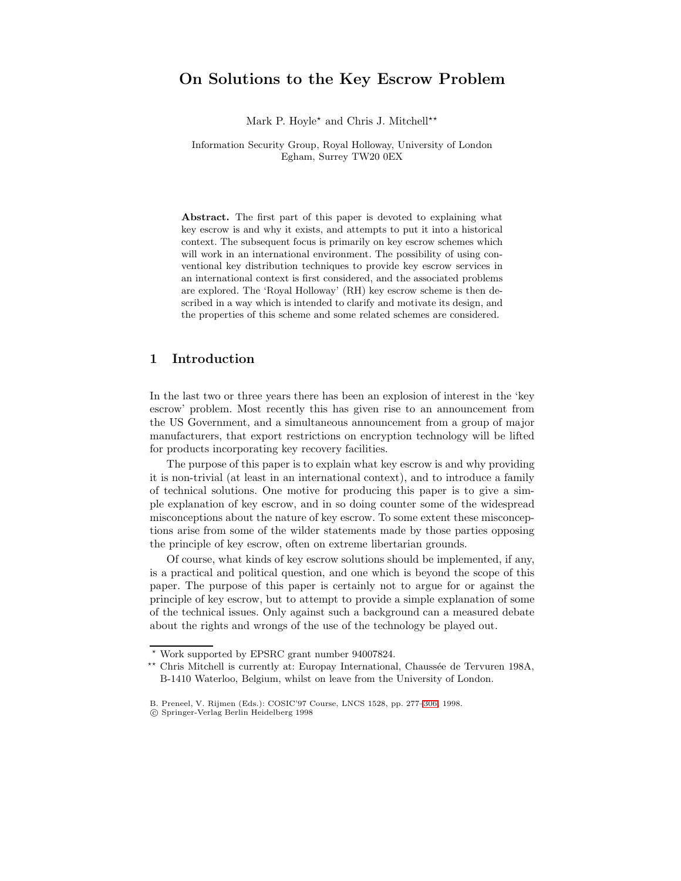# **On Solutions to the Key Escrow Problem**

Mark P. Hoyle<sup>\*</sup> and Chris J. Mitchell<sup>\*\*</sup>

Information Security Group, Royal Holloway, University of London Egham, Surrey TW20 0EX

**Abstract.** The first part of this paper is devoted to explaining what key escrow is and why it exists, and attempts to put it into a historical context. The subsequent focus is primarily on key escrow schemes which will work in an international environment. The possibility of using conventional key distribution techniques to provide key escrow services in an international context is first considered, and the associated problems are explored. The 'Royal Holloway' (RH) key escrow scheme is then described in a way which is intended to clarify and motivate its design, and the properties of this scheme and some related schemes are considered.

### **1 Introduction**

In the last two or three years there has been an explosion of interest in the 'key escrow' problem. Most recently this has given rise to an announcement from the US Government, and a simultaneous announcement from a group of major manufacturers, that export restrictions on encryption technology will be lifted for products incorporating key recovery facilities.

The purpose of this paper is to explain what key escrow is and why providing it is non-trivial (at least in an international context), and to introduce a family of technical solutions. One motive for producing this paper is to give a simple explanation of key escrow, and in so doing counter some of the widespread misconceptions about the nature of key escrow. To some extent these misconceptions arise from some of the wilder statements made by those parties opposing the principle of key escrow, often on extreme libertarian grounds.

Of course, what kinds of key escrow solutions should be implemented, if any, is a practical and political question, and one which is beyond the scope of this paper. The purpose of this paper is certainly not to argue for or against the principle of key escrow, but to attempt to provide a simple explanation of some of the technical issues. Only against such a background can a measured debate about the rights and wrongs of the use of the technology be played out.

<sup>?</sup> Work supported by EPSRC grant number 94007824.

<sup>\*\*</sup> Chris Mitchell is currently at: Europay International, Chaussée de Tervuren 198A, B-1410 Waterloo, Belgium, whilst on leave from the University of London.

B. Preneel, V. Rijmen (Eds.): COSIC'97 Course, LNCS 1528, pp. 277[–306,](#page-29-0) 1998.

c Springer-Verlag Berlin Heidelberg 1998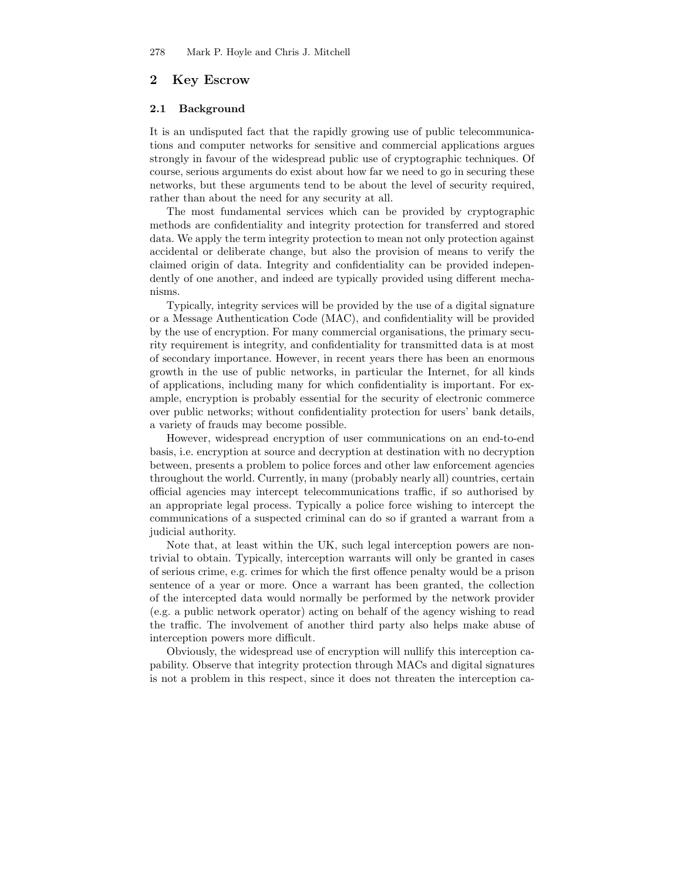## **2 Key Escrow**

### **2.1 Background**

It is an undisputed fact that the rapidly growing use of public telecommunications and computer networks for sensitive and commercial applications argues strongly in favour of the widespread public use of cryptographic techniques. Of course, serious arguments do exist about how far we need to go in securing these networks, but these arguments tend to be about the level of security required, rather than about the need for any security at all.

The most fundamental services which can be provided by cryptographic methods are confidentiality and integrity protection for transferred and stored data. We apply the term integrity protection to mean not only protection against accidental or deliberate change, but also the provision of means to verify the claimed origin of data. Integrity and confidentiality can be provided independently of one another, and indeed are typically provided using different mechanisms.

Typically, integrity services will be provided by the use of a digital signature or a Message Authentication Code (MAC), and confidentiality will be provided by the use of encryption. For many commercial organisations, the primary security requirement is integrity, and confidentiality for transmitted data is at most of secondary importance. However, in recent years there has been an enormous growth in the use of public networks, in particular the Internet, for all kinds of applications, including many for which confidentiality is important. For example, encryption is probably essential for the security of electronic commerce over public networks; without confidentiality protection for users' bank details, a variety of frauds may become possible.

However, widespread encryption of user communications on an end-to-end basis, i.e. encryption at source and decryption at destination with no decryption between, presents a problem to police forces and other law enforcement agencies throughout the world. Currently, in many (probably nearly all) countries, certain official agencies may intercept telecommunications traffic, if so authorised by an appropriate legal process. Typically a police force wishing to intercept the communications of a suspected criminal can do so if granted a warrant from a judicial authority.

Note that, at least within the UK, such legal interception powers are nontrivial to obtain. Typically, interception warrants will only be granted in cases of serious crime, e.g. crimes for which the first offence penalty would be a prison sentence of a year or more. Once a warrant has been granted, the collection of the intercepted data would normally be performed by the network provider (e.g. a public network operator) acting on behalf of the agency wishing to read the traffic. The involvement of another third party also helps make abuse of interception powers more difficult.

Obviously, the widespread use of encryption will nullify this interception capability. Observe that integrity protection through MACs and digital signatures is not a problem in this respect, since it does not threaten the interception ca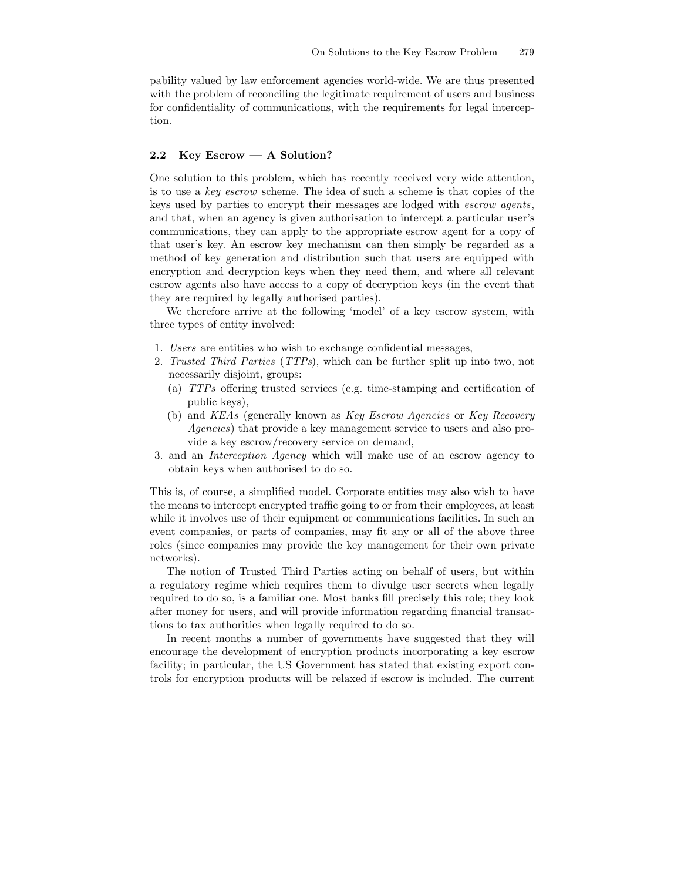pability valued by law enforcement agencies world-wide. We are thus presented with the problem of reconciling the legitimate requirement of users and business for confidentiality of communications, with the requirements for legal interception.

### <span id="page-2-0"></span>**2.2 Key Escrow — A Solution?**

One solution to this problem, which has recently received very wide attention, is to use a *key escrow* scheme. The idea of such a scheme is that copies of the keys used by parties to encrypt their messages are lodged with *escrow agents*, and that, when an agency is given authorisation to intercept a particular user's communications, they can apply to the appropriate escrow agent for a copy of that user's key. An escrow key mechanism can then simply be regarded as a method of key generation and distribution such that users are equipped with encryption and decryption keys when they need them, and where all relevant escrow agents also have access to a copy of decryption keys (in the event that they are required by legally authorised parties).

We therefore arrive at the following 'model' of a key escrow system, with three types of entity involved:

- 1. *Users* are entities who wish to exchange confidential messages,
- 2. *Trusted Third Parties* (*TTPs*), which can be further split up into two, not necessarily disjoint, groups:
	- (a) *TTPs* offering trusted services (e.g. time-stamping and certification of public keys),
	- (b) and *KEAs* (generally known as *Key Escrow Agencies* or *Key Recovery Agencies*) that provide a key management service to users and also provide a key escrow/recovery service on demand,
- 3. and an *Interception Agency* which will make use of an escrow agency to obtain keys when authorised to do so.

This is, of course, a simplified model. Corporate entities may also wish to have the means to intercept encrypted traffic going to or from their employees, at least while it involves use of their equipment or communications facilities. In such an event companies, or parts of companies, may fit any or all of the above three roles (since companies may provide the key management for their own private networks).

The notion of Trusted Third Parties acting on behalf of users, but within a regulatory regime which requires them to divulge user secrets when legally required to do so, is a familiar one. Most banks fill precisely this role; they look after money for users, and will provide information regarding financial transactions to tax authorities when legally required to do so.

In recent months a number of governments have suggested that they will encourage the development of encryption products incorporating a key escrow facility; in particular, the US Government has stated that existing export controls for encryption products will be relaxed if escrow is included. The current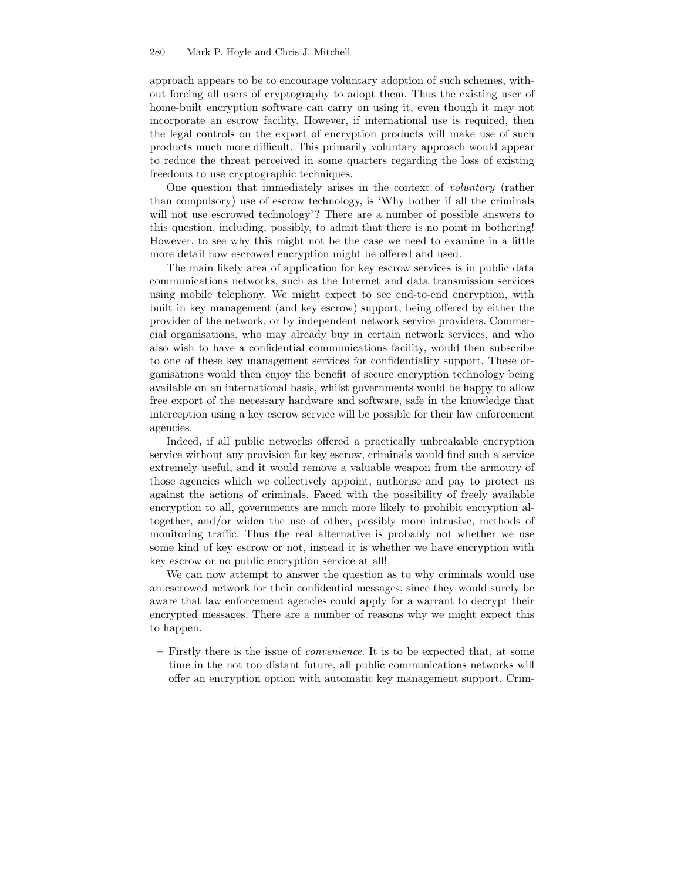approach appears to be to encourage voluntary adoption of such schemes, without forcing all users of cryptography to adopt them. Thus the existing user of home-built encryption software can carry on using it, even though it may not incorporate an escrow facility. However, if international use is required, then the legal controls on the export of encryption products will make use of such products much more difficult. This primarily voluntary approach would appear to reduce the threat perceived in some quarters regarding the loss of existing freedoms to use cryptographic techniques.

One question that immediately arises in the context of *voluntary* (rather than compulsory) use of escrow technology, is 'Why bother if all the criminals will not use escrowed technology'? There are a number of possible answers to this question, including, possibly, to admit that there is no point in bothering! However, to see why this might not be the case we need to examine in a little more detail how escrowed encryption might be offered and used.

The main likely area of application for key escrow services is in public data communications networks, such as the Internet and data transmission services using mobile telephony. We might expect to see end-to-end encryption, with built in key management (and key escrow) support, being offered by either the provider of the network, or by independent network service providers. Commercial organisations, who may already buy in certain network services, and who also wish to have a confidential communications facility, would then subscribe to one of these key management services for confidentiality support. These organisations would then enjoy the benefit of secure encryption technology being available on an international basis, whilst governments would be happy to allow free export of the necessary hardware and software, safe in the knowledge that interception using a key escrow service will be possible for their law enforcement agencies.

Indeed, if all public networks offered a practically unbreakable encryption service without any provision for key escrow, criminals would find such a service extremely useful, and it would remove a valuable weapon from the armoury of those agencies which we collectively appoint, authorise and pay to protect us against the actions of criminals. Faced with the possibility of freely available encryption to all, governments are much more likely to prohibit encryption altogether, and/or widen the use of other, possibly more intrusive, methods of monitoring traffic. Thus the real alternative is probably not whether we use some kind of key escrow or not, instead it is whether we have encryption with key escrow or no public encryption service at all!

We can now attempt to answer the question as to why criminals would use an escrowed network for their confidential messages, since they would surely be aware that law enforcement agencies could apply for a warrant to decrypt their encrypted messages. There are a number of reasons why we might expect this to happen.

**–** Firstly there is the issue of *convenience*. It is to be expected that, at some time in the not too distant future, all public communications networks will offer an encryption option with automatic key management support. Crim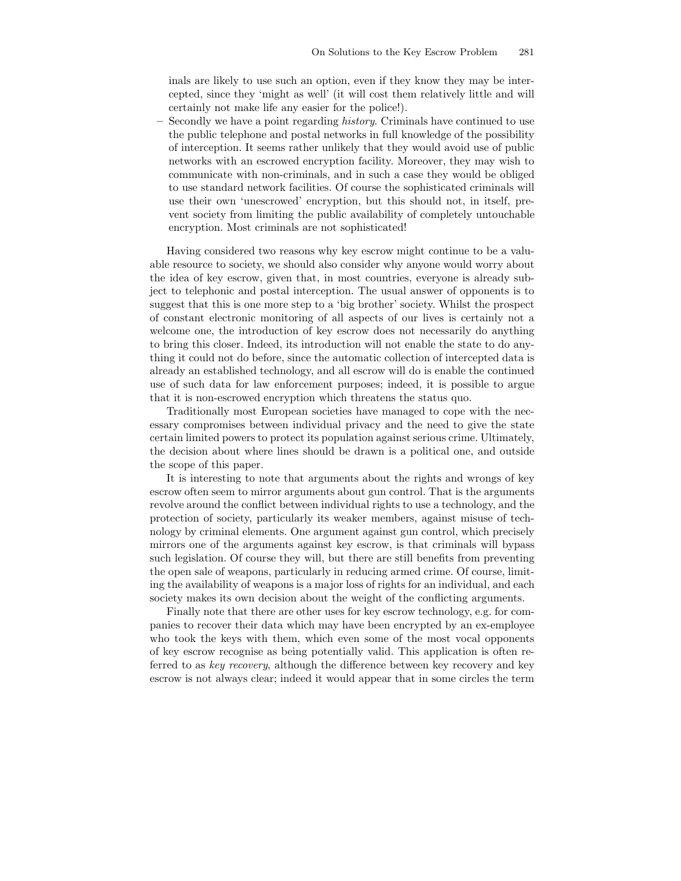inals are likely to use such an option, even if they know they may be intercepted, since they 'might as well' (it will cost them relatively little and will certainly not make life any easier for the police!).

**–** Secondly we have a point regarding *history*. Criminals have continued to use the public telephone and postal networks in full knowledge of the possibility of interception. It seems rather unlikely that they would avoid use of public networks with an escrowed encryption facility. Moreover, they may wish to communicate with non-criminals, and in such a case they would be obliged to use standard network facilities. Of course the sophisticated criminals will use their own 'unescrowed' encryption, but this should not, in itself, prevent society from limiting the public availability of completely untouchable encryption. Most criminals are not sophisticated!

Having considered two reasons why key escrow might continue to be a valuable resource to society, we should also consider why anyone would worry about the idea of key escrow, given that, in most countries, everyone is already subject to telephonic and postal interception. The usual answer of opponents is to suggest that this is one more step to a 'big brother' society. Whilst the prospect of constant electronic monitoring of all aspects of our lives is certainly not a welcome one, the introduction of key escrow does not necessarily do anything to bring this closer. Indeed, its introduction will not enable the state to do anything it could not do before, since the automatic collection of intercepted data is already an established technology, and all escrow will do is enable the continued use of such data for law enforcement purposes; indeed, it is possible to argue that it is non-escrowed encryption which threatens the status quo.

Traditionally most European societies have managed to cope with the necessary compromises between individual privacy and the need to give the state certain limited powers to protect its population against serious crime. Ultimately, the decision about where lines should be drawn is a political one, and outside the scope of this paper.

It is interesting to note that arguments about the rights and wrongs of key escrow often seem to mirror arguments about gun control. That is the arguments revolve around the conflict between individual rights to use a technology, and the protection of society, particularly its weaker members, against misuse of technology by criminal elements. One argument against gun control, which precisely mirrors one of the arguments against key escrow, is that criminals will bypass such legislation. Of course they will, but there are still benefits from preventing the open sale of weapons, particularly in reducing armed crime. Of course, limiting the availability of weapons is a major loss of rights for an individual, and each society makes its own decision about the weight of the conflicting arguments.

Finally note that there are other uses for key escrow technology, e.g. for companies to recover their data which may have been encrypted by an ex-employee who took the keys with them, which even some of the most vocal opponents of key escrow recognise as being potentially valid. This application is often referred to as *key recovery*, although the difference between key recovery and key escrow is not always clear; indeed it would appear that in some circles the term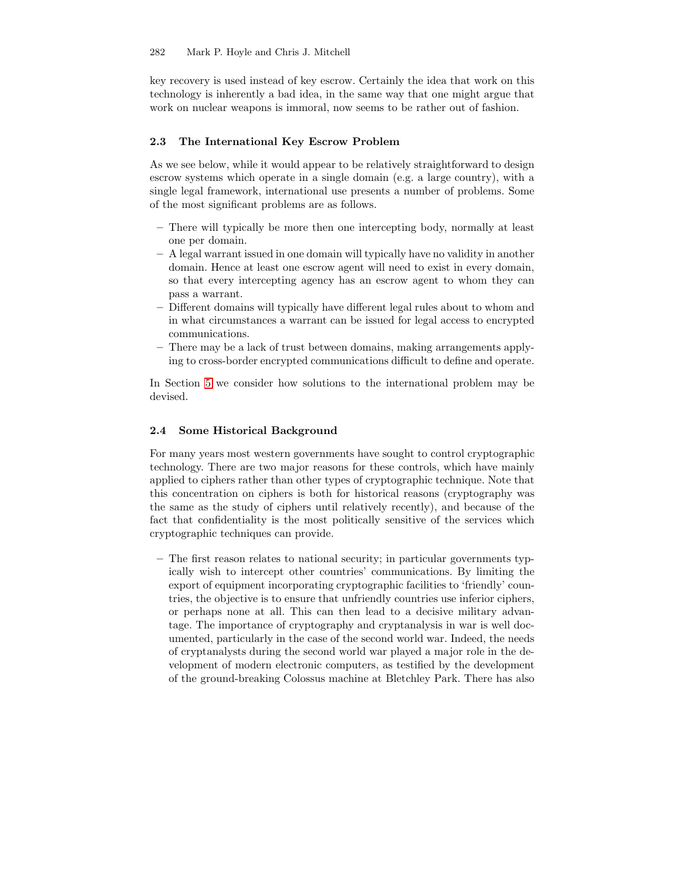key recovery is used instead of key escrow. Certainly the idea that work on this technology is inherently a bad idea, in the same way that one might argue that work on nuclear weapons is immoral, now seems to be rather out of fashion.

## **2.3 The International Key Escrow Problem**

As we see below, while it would appear to be relatively straightforward to design escrow systems which operate in a single domain (e.g. a large country), with a single legal framework, international use presents a number of problems. Some of the most significant problems are as follows.

- **–** There will typically be more then one intercepting body, normally at least one per domain.
- **–** A legal warrant issued in one domain will typically have no validity in another domain. Hence at least one escrow agent will need to exist in every domain, so that every intercepting agency has an escrow agent to whom they can pass a warrant.
- **–** Different domains will typically have different legal rules about to whom and in what circumstances a warrant can be issued for legal access to encrypted communications.
- **–** There may be a lack of trust between domains, making arrangements applying to cross-border encrypted communications difficult to define and operate.

In Section [5](#page-18-0) we consider how solutions to the international problem may be devised.

## **2.4 Some Historical Background**

For many years most western governments have sought to control cryptographic technology. There are two major reasons for these controls, which have mainly applied to ciphers rather than other types of cryptographic technique. Note that this concentration on ciphers is both for historical reasons (cryptography was the same as the study of ciphers until relatively recently), and because of the fact that confidentiality is the most politically sensitive of the services which cryptographic techniques can provide.

**–** The first reason relates to national security; in particular governments typically wish to intercept other countries' communications. By limiting the export of equipment incorporating cryptographic facilities to 'friendly' countries, the objective is to ensure that unfriendly countries use inferior ciphers, or perhaps none at all. This can then lead to a decisive military advantage. The importance of cryptography and cryptanalysis in war is well documented, particularly in the case of the second world war. Indeed, the needs of cryptanalysts during the second world war played a major role in the development of modern electronic computers, as testified by the development of the ground-breaking Colossus machine at Bletchley Park. There has also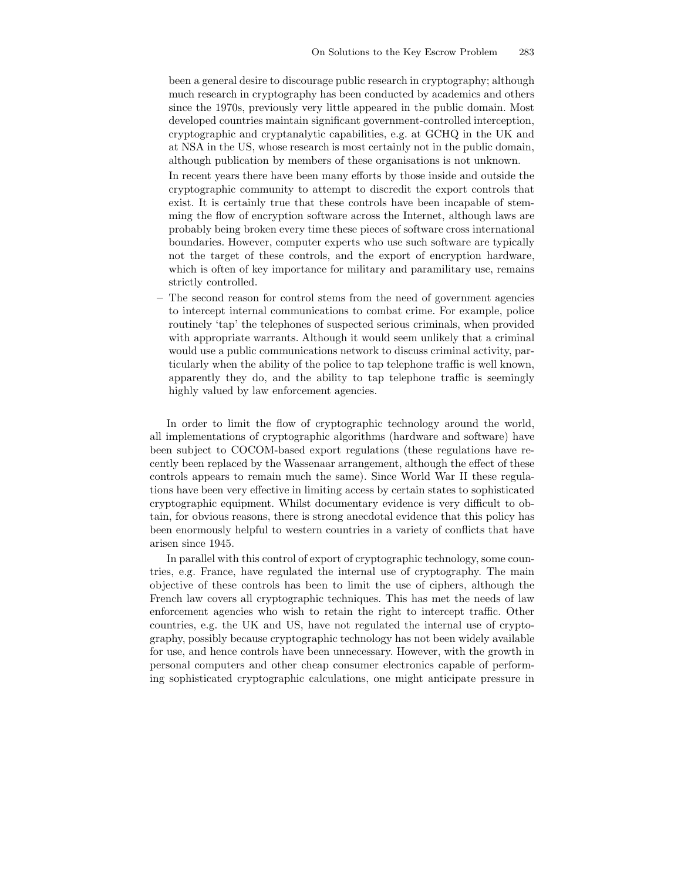been a general desire to discourage public research in cryptography; although much research in cryptography has been conducted by academics and others since the 1970s, previously very little appeared in the public domain. Most developed countries maintain significant government-controlled interception, cryptographic and cryptanalytic capabilities, e.g. at GCHQ in the UK and at NSA in the US, whose research is most certainly not in the public domain, although publication by members of these organisations is not unknown.

In recent years there have been many efforts by those inside and outside the cryptographic community to attempt to discredit the export controls that exist. It is certainly true that these controls have been incapable of stemming the flow of encryption software across the Internet, although laws are probably being broken every time these pieces of software cross international boundaries. However, computer experts who use such software are typically not the target of these controls, and the export of encryption hardware, which is often of key importance for military and paramilitary use, remains strictly controlled.

**–** The second reason for control stems from the need of government agencies to intercept internal communications to combat crime. For example, police routinely 'tap' the telephones of suspected serious criminals, when provided with appropriate warrants. Although it would seem unlikely that a criminal would use a public communications network to discuss criminal activity, particularly when the ability of the police to tap telephone traffic is well known, apparently they do, and the ability to tap telephone traffic is seemingly highly valued by law enforcement agencies.

In order to limit the flow of cryptographic technology around the world, all implementations of cryptographic algorithms (hardware and software) have been subject to COCOM-based export regulations (these regulations have recently been replaced by the Wassenaar arrangement, although the effect of these controls appears to remain much the same). Since World War II these regulations have been very effective in limiting access by certain states to sophisticated cryptographic equipment. Whilst documentary evidence is very difficult to obtain, for obvious reasons, there is strong anecdotal evidence that this policy has been enormously helpful to western countries in a variety of conflicts that have arisen since 1945.

In parallel with this control of export of cryptographic technology, some countries, e.g. France, have regulated the internal use of cryptography. The main objective of these controls has been to limit the use of ciphers, although the French law covers all cryptographic techniques. This has met the needs of law enforcement agencies who wish to retain the right to intercept traffic. Other countries, e.g. the UK and US, have not regulated the internal use of cryptography, possibly because cryptographic technology has not been widely available for use, and hence controls have been unnecessary. However, with the growth in personal computers and other cheap consumer electronics capable of performing sophisticated cryptographic calculations, one might anticipate pressure in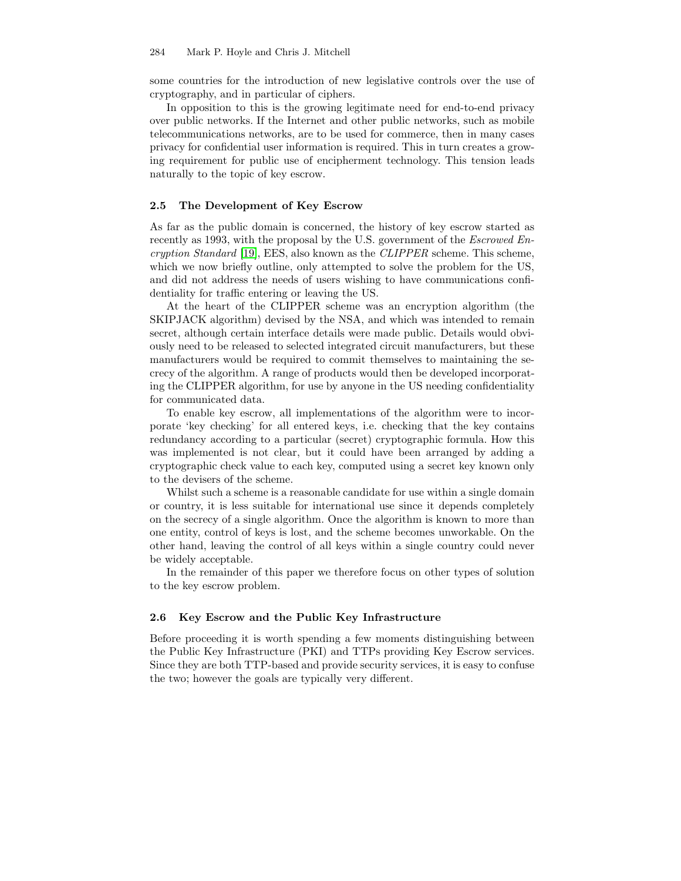some countries for the introduction of new legislative controls over the use of cryptography, and in particular of ciphers.

In opposition to this is the growing legitimate need for end-to-end privacy over public networks. If the Internet and other public networks, such as mobile telecommunications networks, are to be used for commerce, then in many cases privacy for confidential user information is required. This in turn creates a growing requirement for public use of encipherment technology. This tension leads naturally to the topic of key escrow.

### **2.5 The Development of Key Escrow**

As far as the public domain is concerned, the history of key escrow started as recently as 1993, with the proposal by the U.S. government of the *Escrowed Encryption Standard* [\[19\]](#page-29-1), EES, also known as the *CLIPPER* scheme. This scheme, which we now briefly outline, only attempted to solve the problem for the US, and did not address the needs of users wishing to have communications confidentiality for traffic entering or leaving the US.

At the heart of the CLIPPER scheme was an encryption algorithm (the SKIPJACK algorithm) devised by the NSA, and which was intended to remain secret, although certain interface details were made public. Details would obviously need to be released to selected integrated circuit manufacturers, but these manufacturers would be required to commit themselves to maintaining the secrecy of the algorithm. A range of products would then be developed incorporating the CLIPPER algorithm, for use by anyone in the US needing confidentiality for communicated data.

To enable key escrow, all implementations of the algorithm were to incorporate 'key checking' for all entered keys, i.e. checking that the key contains redundancy according to a particular (secret) cryptographic formula. How this was implemented is not clear, but it could have been arranged by adding a cryptographic check value to each key, computed using a secret key known only to the devisers of the scheme.

Whilst such a scheme is a reasonable candidate for use within a single domain or country, it is less suitable for international use since it depends completely on the secrecy of a single algorithm. Once the algorithm is known to more than one entity, control of keys is lost, and the scheme becomes unworkable. On the other hand, leaving the control of all keys within a single country could never be widely acceptable.

In the remainder of this paper we therefore focus on other types of solution to the key escrow problem.

### <span id="page-7-0"></span>**2.6 Key Escrow and the Public Key Infrastructure**

Before proceeding it is worth spending a few moments distinguishing between the Public Key Infrastructure (PKI) and TTPs providing Key Escrow services. Since they are both TTP-based and provide security services, it is easy to confuse the two; however the goals are typically very different.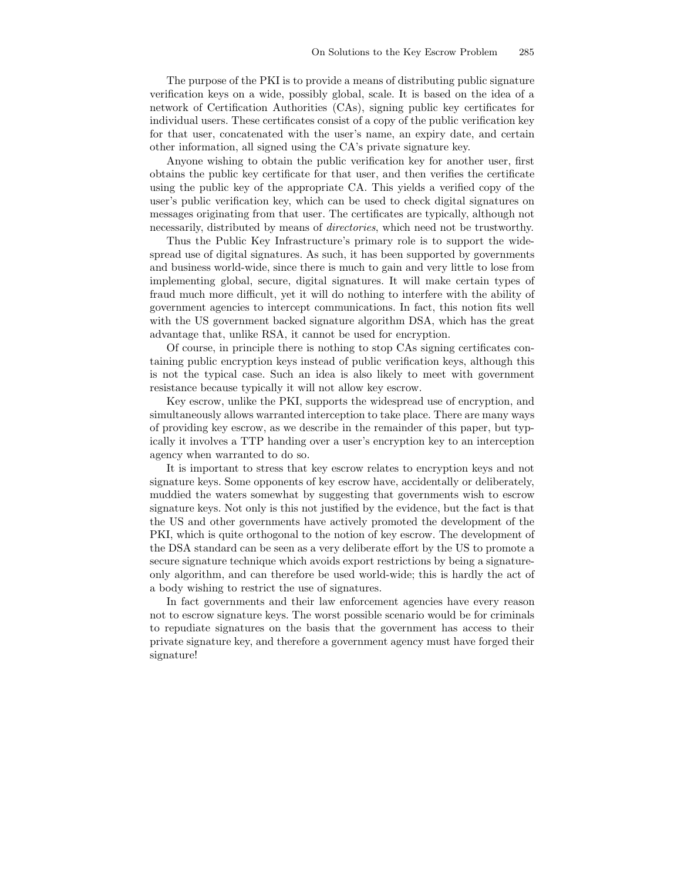The purpose of the PKI is to provide a means of distributing public signature verification keys on a wide, possibly global, scale. It is based on the idea of a network of Certification Authorities (CAs), signing public key certificates for individual users. These certificates consist of a copy of the public verification key for that user, concatenated with the user's name, an expiry date, and certain other information, all signed using the CA's private signature key.

Anyone wishing to obtain the public verification key for another user, first obtains the public key certificate for that user, and then verifies the certificate using the public key of the appropriate CA. This yields a verified copy of the user's public verification key, which can be used to check digital signatures on messages originating from that user. The certificates are typically, although not necessarily, distributed by means of *directories*, which need not be trustworthy.

Thus the Public Key Infrastructure's primary role is to support the widespread use of digital signatures. As such, it has been supported by governments and business world-wide, since there is much to gain and very little to lose from implementing global, secure, digital signatures. It will make certain types of fraud much more difficult, yet it will do nothing to interfere with the ability of government agencies to intercept communications. In fact, this notion fits well with the US government backed signature algorithm DSA, which has the great advantage that, unlike RSA, it cannot be used for encryption.

Of course, in principle there is nothing to stop CAs signing certificates containing public encryption keys instead of public verification keys, although this is not the typical case. Such an idea is also likely to meet with government resistance because typically it will not allow key escrow.

Key escrow, unlike the PKI, supports the widespread use of encryption, and simultaneously allows warranted interception to take place. There are many ways of providing key escrow, as we describe in the remainder of this paper, but typically it involves a TTP handing over a user's encryption key to an interception agency when warranted to do so.

It is important to stress that key escrow relates to encryption keys and not signature keys. Some opponents of key escrow have, accidentally or deliberately, muddied the waters somewhat by suggesting that governments wish to escrow signature keys. Not only is this not justified by the evidence, but the fact is that the US and other governments have actively promoted the development of the PKI, which is quite orthogonal to the notion of key escrow. The development of the DSA standard can be seen as a very deliberate effort by the US to promote a secure signature technique which avoids export restrictions by being a signatureonly algorithm, and can therefore be used world-wide; this is hardly the act of a body wishing to restrict the use of signatures.

In fact governments and their law enforcement agencies have every reason not to escrow signature keys. The worst possible scenario would be for criminals to repudiate signatures on the basis that the government has access to their private signature key, and therefore a government agency must have forged their signature!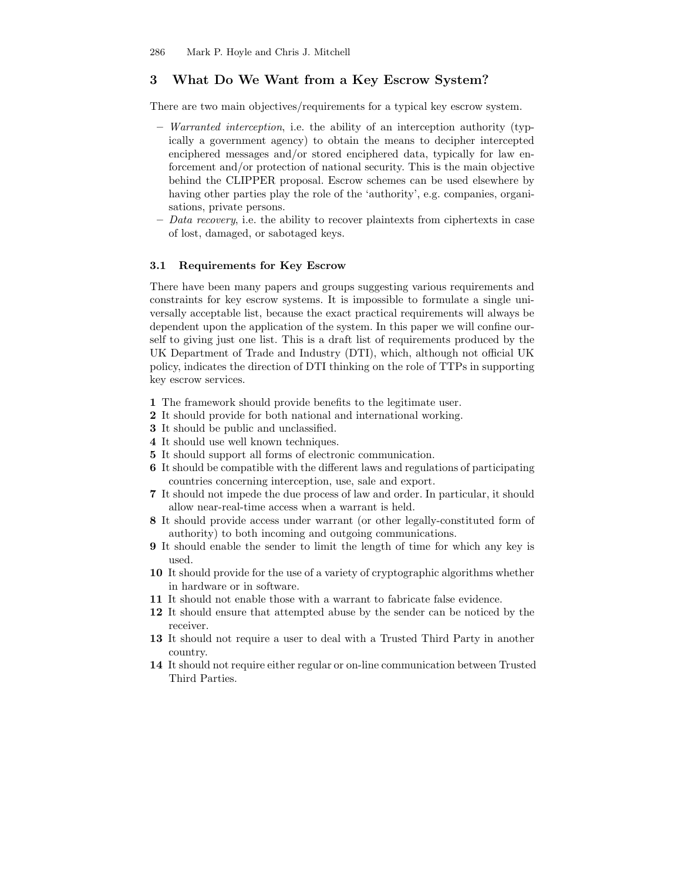## **3 What Do We Want from a Key Escrow System?**

There are two main objectives/requirements for a typical key escrow system.

- **–** *Warranted interception*, i.e. the ability of an interception authority (typically a government agency) to obtain the means to decipher intercepted enciphered messages and/or stored enciphered data, typically for law enforcement and/or protection of national security. This is the main objective behind the CLIPPER proposal. Escrow schemes can be used elsewhere by having other parties play the role of the 'authority', e.g. companies, organisations, private persons.
- **–** *Data recovery*, i.e. the ability to recover plaintexts from ciphertexts in case of lost, damaged, or sabotaged keys.

## <span id="page-9-0"></span>**3.1 Requirements for Key Escrow**

There have been many papers and groups suggesting various requirements and constraints for key escrow systems. It is impossible to formulate a single universally acceptable list, because the exact practical requirements will always be dependent upon the application of the system. In this paper we will confine ourself to giving just one list. This is a draft list of requirements produced by the UK Department of Trade and Industry (DTI), which, although not official UK policy, indicates the direction of DTI thinking on the role of TTPs in supporting key escrow services.

- **1** The framework should provide benefits to the legitimate user.
- **2** It should provide for both national and international working.
- **3** It should be public and unclassified.
- **4** It should use well known techniques.
- **5** It should support all forms of electronic communication.
- **6** It should be compatible with the different laws and regulations of participating countries concerning interception, use, sale and export.
- **7** It should not impede the due process of law and order. In particular, it should allow near-real-time access when a warrant is held.
- **8** It should provide access under warrant (or other legally-constituted form of authority) to both incoming and outgoing communications.
- **9** It should enable the sender to limit the length of time for which any key is used.
- **10** It should provide for the use of a variety of cryptographic algorithms whether in hardware or in software.
- **11** It should not enable those with a warrant to fabricate false evidence.
- **12** It should ensure that attempted abuse by the sender can be noticed by the receiver.
- **13** It should not require a user to deal with a Trusted Third Party in another country.
- **14** It should not require either regular or on-line communication between Trusted Third Parties.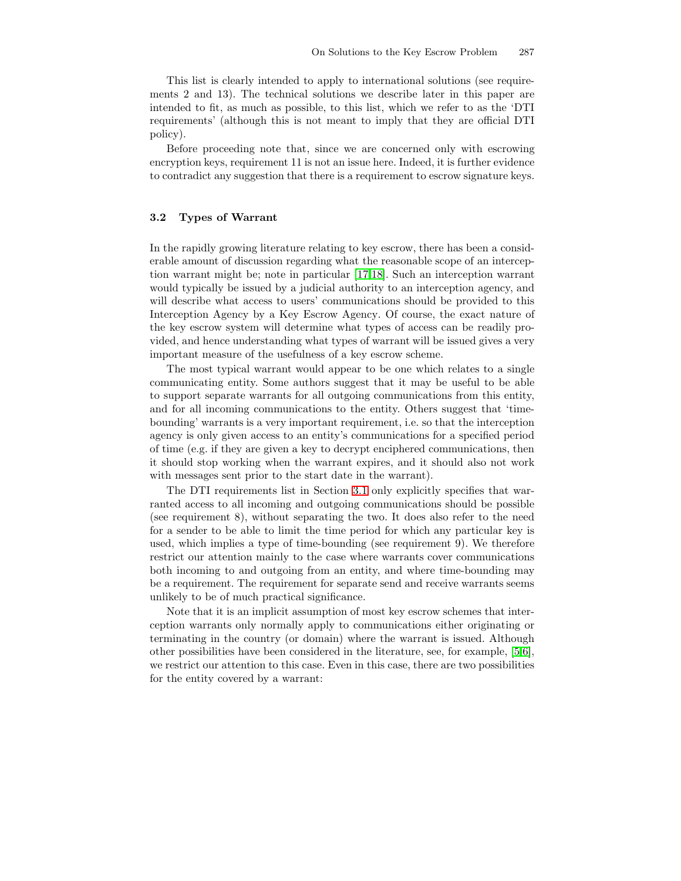This list is clearly intended to apply to international solutions (see requirements 2 and 13). The technical solutions we describe later in this paper are intended to fit, as much as possible, to this list, which we refer to as the 'DTI requirements' (although this is not meant to imply that they are official DTI policy).

Before proceeding note that, since we are concerned only with escrowing encryption keys, requirement 11 is not an issue here. Indeed, it is further evidence to contradict any suggestion that there is a requirement to escrow signature keys.

#### **3.2 Types of Warrant**

In the rapidly growing literature relating to key escrow, there has been a considerable amount of discussion regarding what the reasonable scope of an interception warrant might be; note in particular [\[17](#page-29-2)[,18\]](#page-29-3). Such an interception warrant would typically be issued by a judicial authority to an interception agency, and will describe what access to users' communications should be provided to this Interception Agency by a Key Escrow Agency. Of course, the exact nature of the key escrow system will determine what types of access can be readily provided, and hence understanding what types of warrant will be issued gives a very important measure of the usefulness of a key escrow scheme.

The most typical warrant would appear to be one which relates to a single communicating entity. Some authors suggest that it may be useful to be able to support separate warrants for all outgoing communications from this entity, and for all incoming communications to the entity. Others suggest that 'timebounding' warrants is a very important requirement, i.e. so that the interception agency is only given access to an entity's communications for a specified period of time (e.g. if they are given a key to decrypt enciphered communications, then it should stop working when the warrant expires, and it should also not work with messages sent prior to the start date in the warrant).

The DTI requirements list in Section [3.1](#page-9-0) only explicitly specifies that warranted access to all incoming and outgoing communications should be possible (see requirement 8), without separating the two. It does also refer to the need for a sender to be able to limit the time period for which any particular key is used, which implies a type of time-bounding (see requirement 9). We therefore restrict our attention mainly to the case where warrants cover communications both incoming to and outgoing from an entity, and where time-bounding may be a requirement. The requirement for separate send and receive warrants seems unlikely to be of much practical significance.

Note that it is an implicit assumption of most key escrow schemes that interception warrants only normally apply to communications either originating or terminating in the country (or domain) where the warrant is issued. Although other possibilities have been considered in the literature, see, for example, [\[5](#page-28-0)[,6\]](#page-28-1), we restrict our attention to this case. Even in this case, there are two possibilities for the entity covered by a warrant: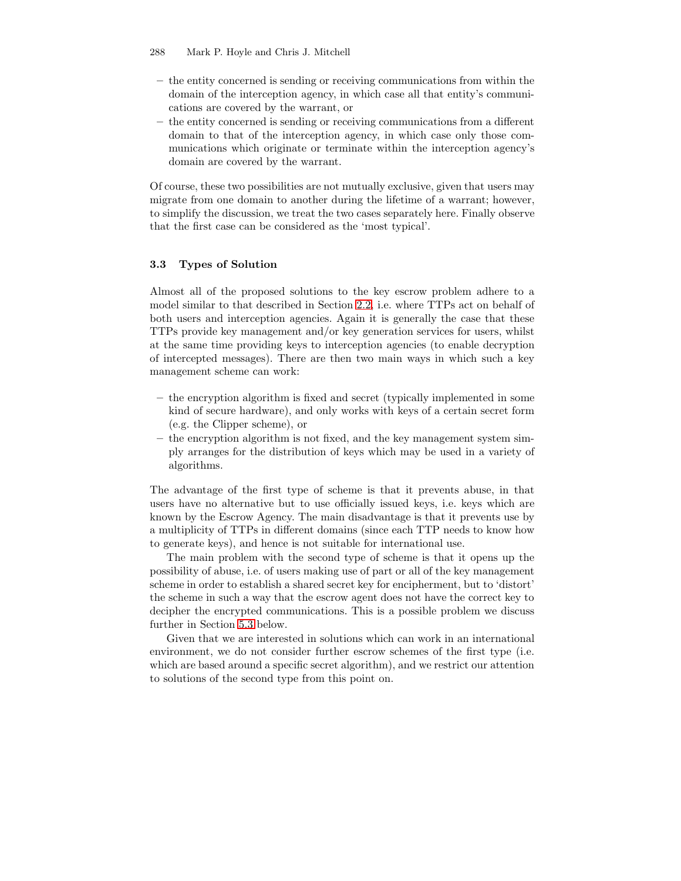- **–** the entity concerned is sending or receiving communications from within the domain of the interception agency, in which case all that entity's communications are covered by the warrant, or
- **–** the entity concerned is sending or receiving communications from a different domain to that of the interception agency, in which case only those communications which originate or terminate within the interception agency's domain are covered by the warrant.

Of course, these two possibilities are not mutually exclusive, given that users may migrate from one domain to another during the lifetime of a warrant; however, to simplify the discussion, we treat the two cases separately here. Finally observe that the first case can be considered as the 'most typical'.

## **3.3 Types of Solution**

Almost all of the proposed solutions to the key escrow problem adhere to a model similar to that described in Section [2.2,](#page-2-0) i.e. where TTPs act on behalf of both users and interception agencies. Again it is generally the case that these TTPs provide key management and/or key generation services for users, whilst at the same time providing keys to interception agencies (to enable decryption of intercepted messages). There are then two main ways in which such a key management scheme can work:

- **–** the encryption algorithm is fixed and secret (typically implemented in some kind of secure hardware), and only works with keys of a certain secret form (e.g. the Clipper scheme), or
- **–** the encryption algorithm is not fixed, and the key management system simply arranges for the distribution of keys which may be used in a variety of algorithms.

The advantage of the first type of scheme is that it prevents abuse, in that users have no alternative but to use officially issued keys, i.e. keys which are known by the Escrow Agency. The main disadvantage is that it prevents use by a multiplicity of TTPs in different domains (since each TTP needs to know how to generate keys), and hence is not suitable for international use.

The main problem with the second type of scheme is that it opens up the possibility of abuse, i.e. of users making use of part or all of the key management scheme in order to establish a shared secret key for encipherment, but to 'distort' the scheme in such a way that the escrow agent does not have the correct key to decipher the encrypted communications. This is a possible problem we discuss further in Section [5.3](#page-25-0) below.

Given that we are interested in solutions which can work in an international environment, we do not consider further escrow schemes of the first type (i.e. which are based around a specific secret algorithm), and we restrict our attention to solutions of the second type from this point on.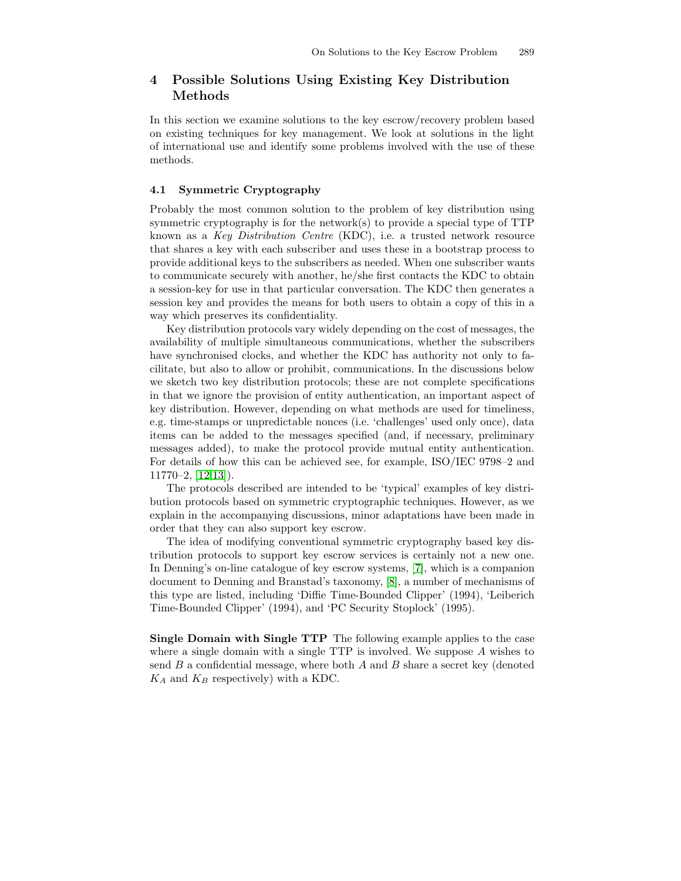## **4 Possible Solutions Using Existing Key Distribution Methods**

In this section we examine solutions to the key escrow/recovery problem based on existing techniques for key management. We look at solutions in the light of international use and identify some problems involved with the use of these methods.

### <span id="page-12-0"></span>**4.1 Symmetric Cryptography**

Probably the most common solution to the problem of key distribution using symmetric cryptography is for the network(s) to provide a special type of TTP known as a *Key Distribution Centre* (KDC), i.e. a trusted network resource that shares a key with each subscriber and uses these in a bootstrap process to provide additional keys to the subscribers as needed. When one subscriber wants to communicate securely with another, he/she first contacts the KDC to obtain a session-key for use in that particular conversation. The KDC then generates a session key and provides the means for both users to obtain a copy of this in a way which preserves its confidentiality.

Key distribution protocols vary widely depending on the cost of messages, the availability of multiple simultaneous communications, whether the subscribers have synchronised clocks, and whether the KDC has authority not only to facilitate, but also to allow or prohibit, communications. In the discussions below we sketch two key distribution protocols; these are not complete specifications in that we ignore the provision of entity authentication, an important aspect of key distribution. However, depending on what methods are used for timeliness, e.g. time-stamps or unpredictable nonces (i.e. 'challenges' used only once), data items can be added to the messages specified (and, if necessary, preliminary messages added), to make the protocol provide mutual entity authentication. For details of how this can be achieved see, for example, ISO/IEC 9798–2 and 11770–2, [\[12](#page-28-2)[,13\]](#page-29-4)).

The protocols described are intended to be 'typical' examples of key distribution protocols based on symmetric cryptographic techniques. However, as we explain in the accompanying discussions, minor adaptations have been made in order that they can also support key escrow.

The idea of modifying conventional symmetric cryptography based key distribution protocols to support key escrow services is certainly not a new one. In Denning's on-line catalogue of key escrow systems, [\[7\]](#page-28-3), which is a companion document to Denning and Branstad's taxonomy, [\[8\]](#page-28-4), a number of mechanisms of this type are listed, including 'Diffie Time-Bounded Clipper' (1994), 'Leiberich Time-Bounded Clipper' (1994), and 'PC Security Stoplock' (1995).

**Single Domain with Single TTP** The following example applies to the case where a single domain with a single  $TTP$  is involved. We suppose  $A$  wishes to send  $B$  a confidential message, where both  $A$  and  $B$  share a secret key (denoted  $K_A$  and  $K_B$  respectively) with a KDC.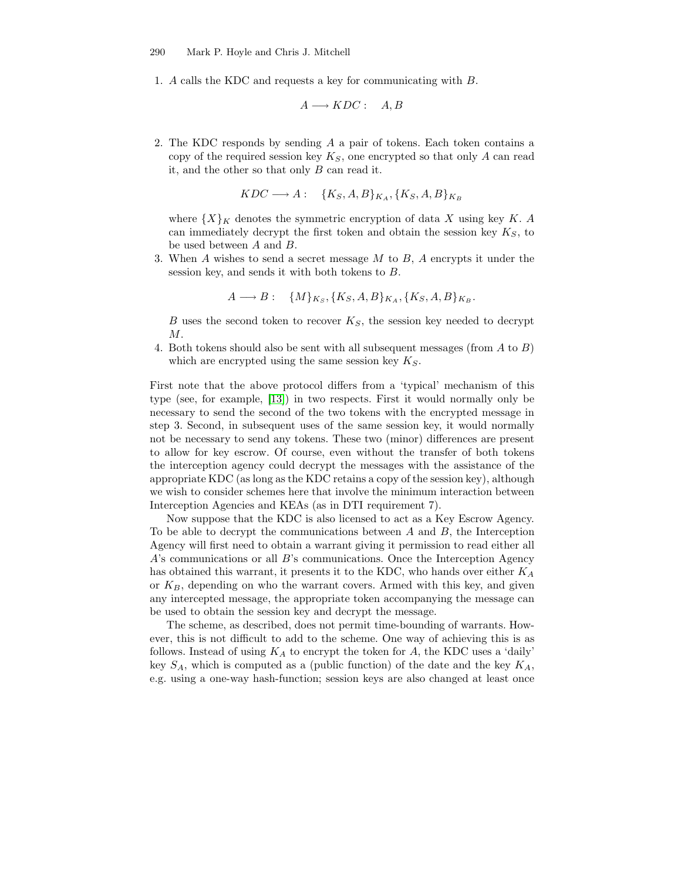1. A calls the KDC and requests a key for communicating with B.

$$
A \longrightarrow KDC: \quad A, B
$$

2. The KDC responds by sending A a pair of tokens. Each token contains a copy of the required session key  $K_S$ , one encrypted so that only A can read it, and the other so that only B can read it.

$$
KDC \longrightarrow A: \quad \{K_S, A, B\}_{K_A}, \{K_S, A, B\}_{K_B}
$$

where  $\{X\}_K$  denotes the symmetric encryption of data X using key K. A can immediately decrypt the first token and obtain the session key  $K_S$ , to be used between A and B.

3. When A wishes to send a secret message  $M$  to  $B$ ,  $A$  encrypts it under the session key, and sends it with both tokens to B.

$$
A \longrightarrow B: \{M\}_{K_S}, \{K_S, A, B\}_{K_A}, \{K_S, A, B\}_{K_B}.
$$

B uses the second token to recover  $K_S$ , the session key needed to decrypt M.

4. Both tokens should also be sent with all subsequent messages (from A to B) which are encrypted using the same session key  $K_S$ .

First note that the above protocol differs from a 'typical' mechanism of this type (see, for example, [\[13\]](#page-29-4)) in two respects. First it would normally only be necessary to send the second of the two tokens with the encrypted message in step 3. Second, in subsequent uses of the same session key, it would normally not be necessary to send any tokens. These two (minor) differences are present to allow for key escrow. Of course, even without the transfer of both tokens the interception agency could decrypt the messages with the assistance of the appropriate KDC (as long as the KDC retains a copy of the session key), although we wish to consider schemes here that involve the minimum interaction between Interception Agencies and KEAs (as in DTI requirement 7).

Now suppose that the KDC is also licensed to act as a Key Escrow Agency. To be able to decrypt the communications between  $A$  and  $B$ , the Interception Agency will first need to obtain a warrant giving it permission to read either all A's communications or all B's communications. Once the Interception Agency has obtained this warrant, it presents it to the KDC, who hands over either  $K_A$ or  $K_B$ , depending on who the warrant covers. Armed with this key, and given any intercepted message, the appropriate token accompanying the message can be used to obtain the session key and decrypt the message.

The scheme, as described, does not permit time-bounding of warrants. However, this is not difficult to add to the scheme. One way of achieving this is as follows. Instead of using  $K_A$  to encrypt the token for A, the KDC uses a 'daily' key  $S_A$ , which is computed as a (public function) of the date and the key  $K_A$ , e.g. using a one-way hash-function; session keys are also changed at least once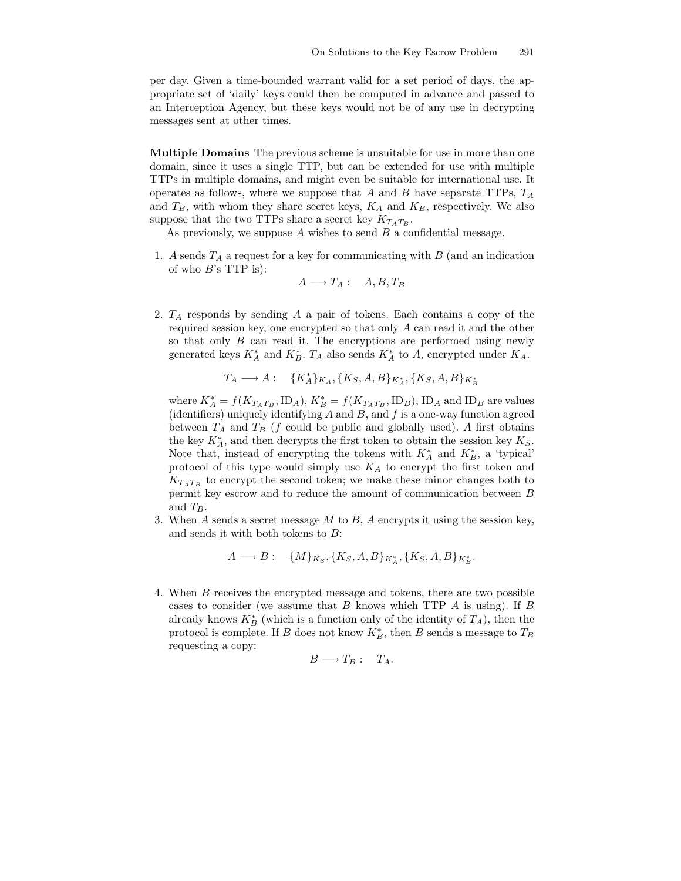per day. Given a time-bounded warrant valid for a set period of days, the appropriate set of 'daily' keys could then be computed in advance and passed to an Interception Agency, but these keys would not be of any use in decrypting messages sent at other times.

**Multiple Domains** The previous scheme is unsuitable for use in more than one domain, since it uses a single TTP, but can be extended for use with multiple TTPs in multiple domains, and might even be suitable for international use. It operates as follows, where we suppose that A and B have separate TTPs,  $T_A$ and  $T_B$ , with whom they share secret keys,  $K_A$  and  $K_B$ , respectively. We also suppose that the two TTPs share a secret key  $K_{T_A T_B}$ .

As previously, we suppose  $A$  wishes to send  $B$  a confidential message.

1. A sends  $T_A$  a request for a key for communicating with  $B$  (and an indication of who  $B$ 's TTP is):

$$
A \longrightarrow T_A: \quad A, B, T_B
$$

2. <sup>T</sup>A responds by sending <sup>A</sup> a pair of tokens. Each contains a copy of the required session key, one encrypted so that only A can read it and the other so that only B can read it. The encryptions are performed using newly generated keys  $K_A^*$  and  $K_B^*$ .  $T_A$  also sends  $K_A^*$  to  $A$ , encrypted under  $K_A$ .

$$
T_A \longrightarrow A: \{K_A^*\}_{K_A}, \{K_S, A, B\}_{K_A^*}, \{K_S, A, B\}_{K_B^*}
$$

where  $K_A^* = f(K_{T_A T_B}, \text{ID}_A), K_B^* = f(K_{T_A T_B}, \text{ID}_B), \text{ID}_A$  and  $\text{ID}_B$  are values<br>(identifiers) uniqually identifying A and B and f is a one-way function agreed (identifiers) uniquely identifying  $A$  and  $B$ , and  $f$  is a one-way function agreed between  $T_A$  and  $T_B$  (f could be public and globally used). A first obtains the key  $K_A^*$ , and then decrypts the first token to obtain the session key  $K_S$ .<br>Note that instead of encrypting the tokens with  $K^*$  and  $K^*$  a 'typical' Note that, instead of encrypting the tokens with  $K_A^*$  and  $K_B^*$ , a 'typical'<br>protocol of this type would simply use  $K_A$ , to encrypt the first token and protocol of this type would simply use  $K_A$  to encrypt the first token and  $K_{T_A T_B}$  to encrypt the second token; we make these minor changes both to permit key escrow and to reduce the amount of communication between B and  $T_B$ .

3. When A sends a secret message  $M$  to  $B$ , A encrypts it using the session key, and sends it with both tokens to B:

$$
A \longrightarrow B: \{M\}_{K_S}, \{K_S, A, B\}_{K_A^*}, \{K_S, A, B\}_{K_B^*}.
$$

4. When B receives the encrypted message and tokens, there are two possible cases to consider (we assume that  $B$  knows which TTP  $A$  is using). If  $B$ already knows  $K^*_B$  (which is a function only of the identity of  $T_A$ ), then the<br>protocol is complete. If B does not know  $K^*$  then B sends a message to  $T_B$ protocol is complete. If B does not know  $K_B^*$ , then B sends a message to  $T_B$ <br>requesting a convi requesting a copy:

$$
B\longrightarrow T_B:\quad T_A.
$$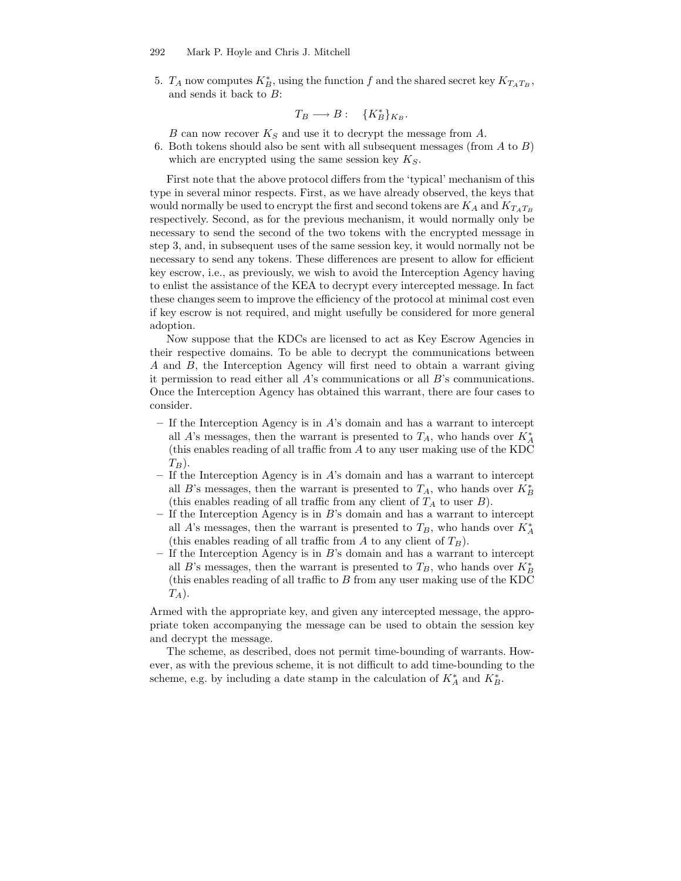5.  $T_A$  now computes  $K_B^*$ , using the function f and the shared secret key  $K_{T_A T_B}$ , and sends it hack to  $B$ . and sends it back to B:

$$
T_B \longrightarrow B: \quad \{K_B^*\}_{K_B}.
$$

B can now recover  $K_S$  and use it to decrypt the message from A.

6. Both tokens should also be sent with all subsequent messages (from  $A$  to  $B$ ) which are encrypted using the same session key  $K_S$ .

First note that the above protocol differs from the 'typical' mechanism of this type in several minor respects. First, as we have already observed, the keys that would normally be used to encrypt the first and second tokens are  $K_A$  and  $K_{T_A T_B}$ respectively. Second, as for the previous mechanism, it would normally only be necessary to send the second of the two tokens with the encrypted message in step 3, and, in subsequent uses of the same session key, it would normally not be necessary to send any tokens. These differences are present to allow for efficient key escrow, i.e., as previously, we wish to avoid the Interception Agency having to enlist the assistance of the KEA to decrypt every intercepted message. In fact these changes seem to improve the efficiency of the protocol at minimal cost even if key escrow is not required, and might usefully be considered for more general adoption.

Now suppose that the KDCs are licensed to act as Key Escrow Agencies in their respective domains. To be able to decrypt the communications between A and B, the Interception Agency will first need to obtain a warrant giving it permission to read either all  $A$ 's communications or all  $B$ 's communications. Once the Interception Agency has obtained this warrant, there are four cases to consider.

- **–** If the Interception Agency is in A's domain and has a warrant to intercept all A's messages, then the warrant is presented to  $T_A$ , who hands over  $K_A^*$ (this enables reading of all traffic from A to any user making use of the KDC  $T_{\text{D}}$ )  $T_B$ ).
- **–** If the Interception Agency is in A's domain and has a warrant to intercept all B's messages, then the warrant is presented to  $T_A$ , who hands over  $K_B^*$ (this enables reading of all traffic from any client of  $T_A$  to user  $B$ ).
- **–** If the Interception Agency is in B's domain and has a warrant to intercept all A's messages, then the warrant is presented to  $T_B$ , who hands over  $K_A^*$ (this enables reading of all traffic from A to any client of  $T_B$ ).
- **–** If the Interception Agency is in B's domain and has a warrant to intercept all B's messages, then the warrant is presented to  $T_B$ , who hands over  $K_B^*$ (this enables reading of all traffic to B from any user making use of the KDC  $T_{\lambda}$ )  $T_A$ ).

Armed with the appropriate key, and given any intercepted message, the appropriate token accompanying the message can be used to obtain the session key and decrypt the message.

The scheme, as described, does not permit time-bounding of warrants. However, as with the previous scheme, it is not difficult to add time-bounding to the scheme, e.g. by including a date stamp in the calculation of  $K_A^*$  and  $K_B^*$ .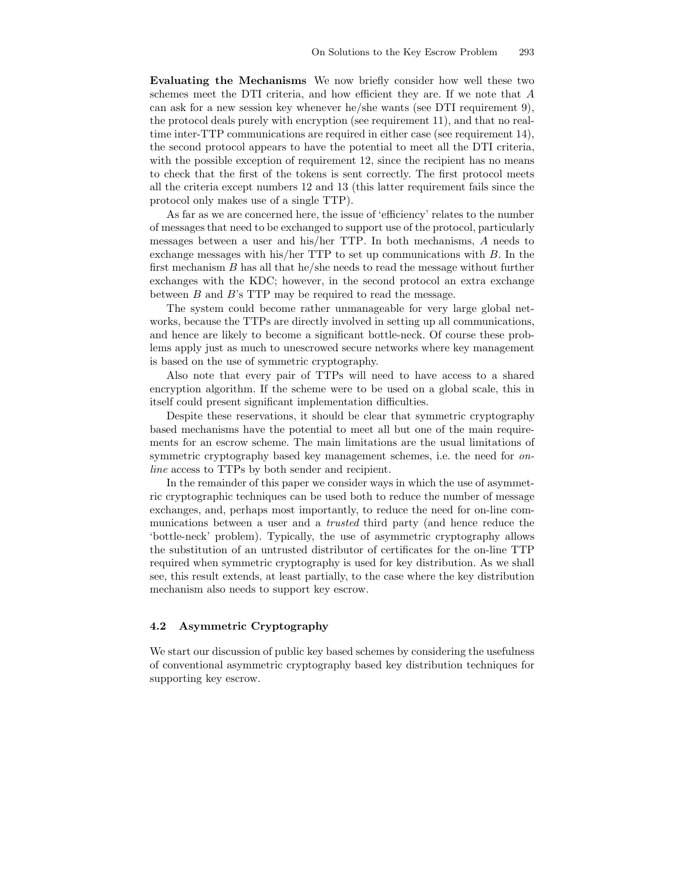**Evaluating the Mechanisms** We now briefly consider how well these two schemes meet the DTI criteria, and how efficient they are. If we note that A can ask for a new session key whenever he/she wants (see DTI requirement 9), the protocol deals purely with encryption (see requirement 11), and that no realtime inter-TTP communications are required in either case (see requirement 14), the second protocol appears to have the potential to meet all the DTI criteria, with the possible exception of requirement 12, since the recipient has no means to check that the first of the tokens is sent correctly. The first protocol meets all the criteria except numbers 12 and 13 (this latter requirement fails since the protocol only makes use of a single TTP).

As far as we are concerned here, the issue of 'efficiency' relates to the number of messages that need to be exchanged to support use of the protocol, particularly messages between a user and his/her TTP. In both mechanisms, A needs to exchange messages with his/her TTP to set up communications with  $B$ . In the first mechanism  $B$  has all that he/she needs to read the message without further exchanges with the KDC; however, in the second protocol an extra exchange between B and B's TTP may be required to read the message.

The system could become rather unmanageable for very large global networks, because the TTPs are directly involved in setting up all communications, and hence are likely to become a significant bottle-neck. Of course these problems apply just as much to unescrowed secure networks where key management is based on the use of symmetric cryptography.

Also note that every pair of TTPs will need to have access to a shared encryption algorithm. If the scheme were to be used on a global scale, this in itself could present significant implementation difficulties.

Despite these reservations, it should be clear that symmetric cryptography based mechanisms have the potential to meet all but one of the main requirements for an escrow scheme. The main limitations are the usual limitations of symmetric cryptography based key management schemes, i.e. the need for *online* access to TTPs by both sender and recipient.

In the remainder of this paper we consider ways in which the use of asymmetric cryptographic techniques can be used both to reduce the number of message exchanges, and, perhaps most importantly, to reduce the need for on-line communications between a user and a *trusted* third party (and hence reduce the 'bottle-neck' problem). Typically, the use of asymmetric cryptography allows the substitution of an untrusted distributor of certificates for the on-line TTP required when symmetric cryptography is used for key distribution. As we shall see, this result extends, at least partially, to the case where the key distribution mechanism also needs to support key escrow.

### **4.2 Asymmetric Cryptography**

We start our discussion of public key based schemes by considering the usefulness of conventional asymmetric cryptography based key distribution techniques for supporting key escrow.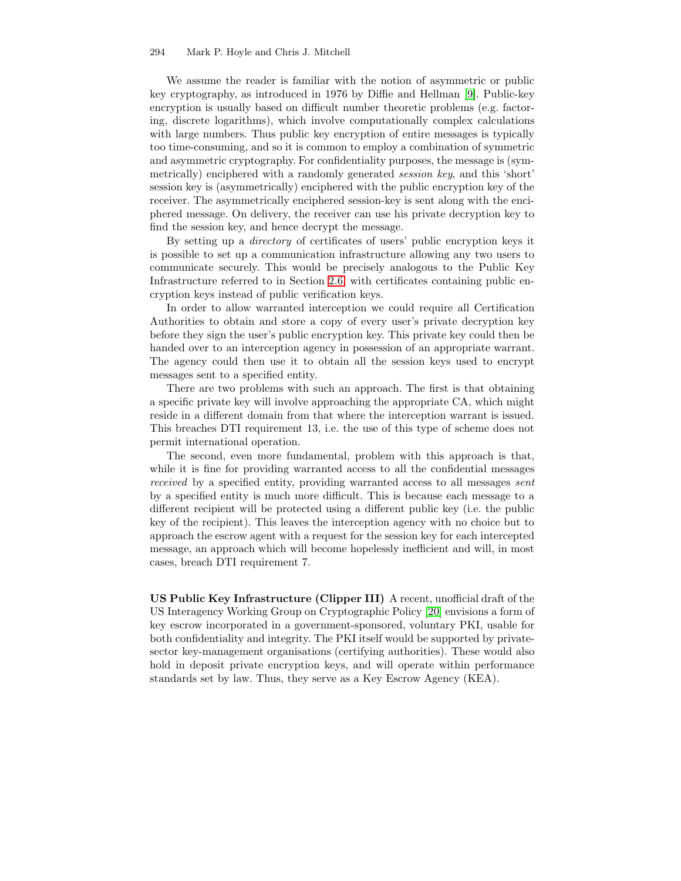We assume the reader is familiar with the notion of asymmetric or public key cryptography, as introduced in 1976 by Diffie and Hellman [\[9\]](#page-28-5). Public-key encryption is usually based on difficult number theoretic problems (e.g. factoring, discrete logarithms), which involve computationally complex calculations with large numbers. Thus public key encryption of entire messages is typically too time-consuming, and so it is common to employ a combination of symmetric and asymmetric cryptography. For confidentiality purposes, the message is (symmetrically) enciphered with a randomly generated *session key*, and this 'short' session key is (asymmetrically) enciphered with the public encryption key of the receiver. The asymmetrically enciphered session-key is sent along with the enciphered message. On delivery, the receiver can use his private decryption key to find the session key, and hence decrypt the message.

By setting up a *directory* of certificates of users' public encryption keys it is possible to set up a communication infrastructure allowing any two users to communicate securely. This would be precisely analogous to the Public Key Infrastructure referred to in Section [2.6,](#page-7-0) with certificates containing public encryption keys instead of public verification keys.

In order to allow warranted interception we could require all Certification Authorities to obtain and store a copy of every user's private decryption key before they sign the user's public encryption key. This private key could then be handed over to an interception agency in possession of an appropriate warrant. The agency could then use it to obtain all the session keys used to encrypt messages sent to a specified entity.

There are two problems with such an approach. The first is that obtaining a specific private key will involve approaching the appropriate CA, which might reside in a different domain from that where the interception warrant is issued. This breaches DTI requirement 13, i.e. the use of this type of scheme does not permit international operation.

The second, even more fundamental, problem with this approach is that, while it is fine for providing warranted access to all the confidential messages *received* by a specified entity, providing warranted access to all messages *sent* by a specified entity is much more difficult. This is because each message to a different recipient will be protected using a different public key (i.e. the public key of the recipient). This leaves the interception agency with no choice but to approach the escrow agent with a request for the session key for each intercepted message, an approach which will become hopelessly inefficient and will, in most cases, breach DTI requirement 7.

**US Public Key Infrastructure (Clipper III)** A recent, unofficial draft of the US Interagency Working Group on Cryptographic Policy [\[20\]](#page-29-5) envisions a form of key escrow incorporated in a government-sponsored, voluntary PKI, usable for both confidentiality and integrity. The PKI itself would be supported by privatesector key-management organisations (certifying authorities). These would also hold in deposit private encryption keys, and will operate within performance standards set by law. Thus, they serve as a Key Escrow Agency (KEA).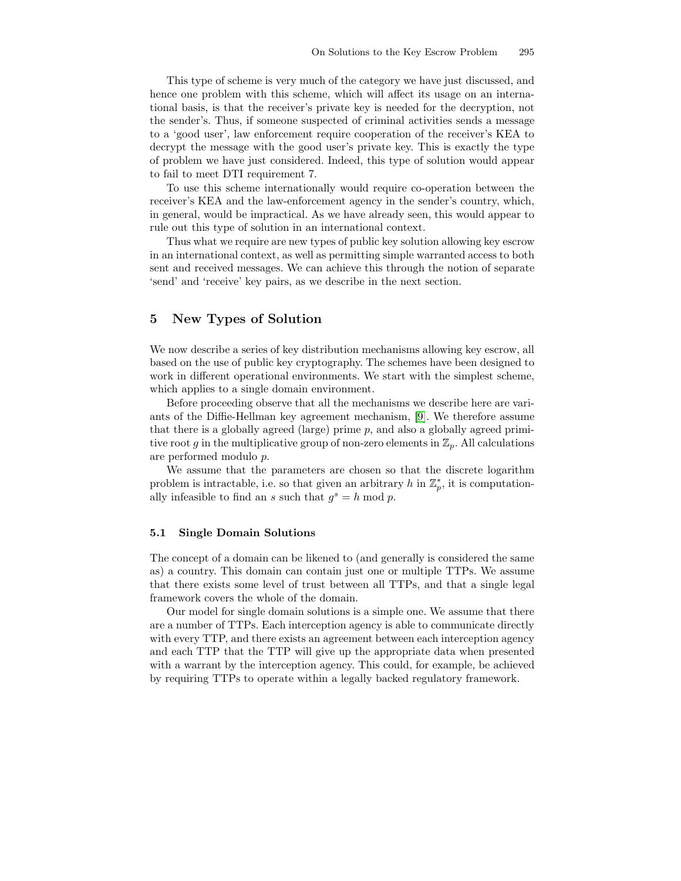This type of scheme is very much of the category we have just discussed, and hence one problem with this scheme, which will affect its usage on an international basis, is that the receiver's private key is needed for the decryption, not the sender's. Thus, if someone suspected of criminal activities sends a message to a 'good user', law enforcement require cooperation of the receiver's KEA to decrypt the message with the good user's private key. This is exactly the type of problem we have just considered. Indeed, this type of solution would appear to fail to meet DTI requirement 7.

To use this scheme internationally would require co-operation between the receiver's KEA and the law-enforcement agency in the sender's country, which, in general, would be impractical. As we have already seen, this would appear to rule out this type of solution in an international context.

Thus what we require are new types of public key solution allowing key escrow in an international context, as well as permitting simple warranted access to both sent and received messages. We can achieve this through the notion of separate 'send' and 'receive' key pairs, as we describe in the next section.

## <span id="page-18-0"></span>**5 New Types of Solution**

We now describe a series of key distribution mechanisms allowing key escrow, all based on the use of public key cryptography. The schemes have been designed to work in different operational environments. We start with the simplest scheme, which applies to a single domain environment.

Before proceeding observe that all the mechanisms we describe here are variants of the Diffie-Hellman key agreement mechanism, [\[9\]](#page-28-5). We therefore assume that there is a globally agreed (large) prime  $p$ , and also a globally agreed primitive root g in the multiplicative group of non-zero elements in  $\mathbb{Z}_p$ . All calculations are performed modulo p.

We assume that the parameters are chosen so that the discrete logarithm problem is intractable, i.e. so that given an arbitrary h in  $\mathbb{Z}_p^*$ , it is computation-<br>ally infeasible to find an s such that  $a^s = h \mod n$ ally infeasible to find an s such that  $g^s = h \mod p$ .

### <span id="page-18-1"></span>**5.1 Single Domain Solutions**

The concept of a domain can be likened to (and generally is considered the same as) a country. This domain can contain just one or multiple TTPs. We assume that there exists some level of trust between all TTPs, and that a single legal framework covers the whole of the domain.

Our model for single domain solutions is a simple one. We assume that there are a number of TTPs. Each interception agency is able to communicate directly with every TTP, and there exists an agreement between each interception agency and each TTP that the TTP will give up the appropriate data when presented with a warrant by the interception agency. This could, for example, be achieved by requiring TTPs to operate within a legally backed regulatory framework.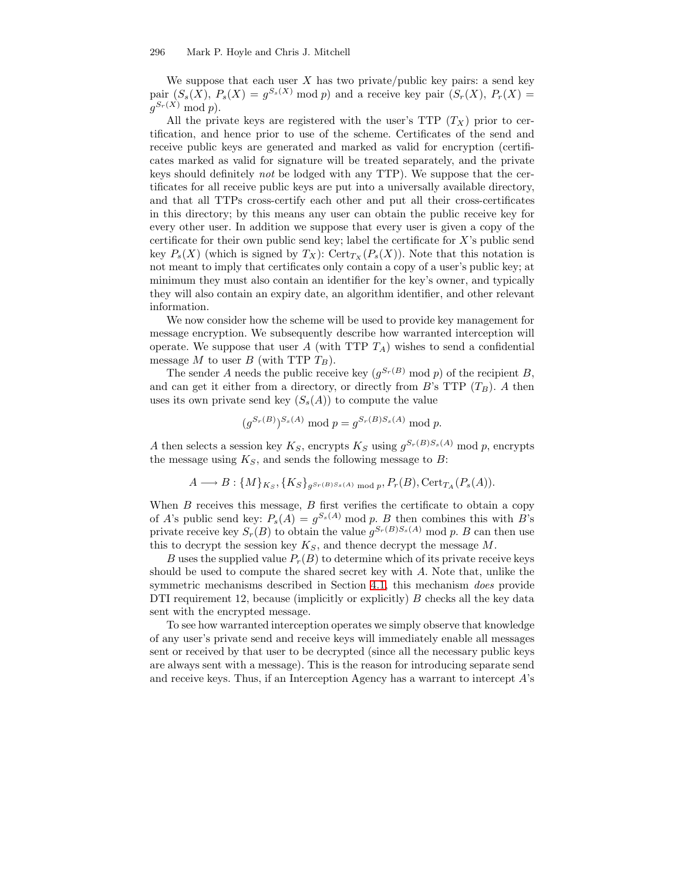We suppose that each user  $X$  has two private/public key pairs: a send key pair  $(S_s(X), P_s(X) = g^{S_s(X)} \mod p)$  and a receive key pair  $(S_r(X), P_r(X) =$  $q^{S_r(X)} \bmod p$ .

All the private keys are registered with the user's  $TTP (T_X)$  prior to certification, and hence prior to use of the scheme. Certificates of the send and receive public keys are generated and marked as valid for encryption (certificates marked as valid for signature will be treated separately, and the private keys should definitely *not* be lodged with any TTP). We suppose that the certificates for all receive public keys are put into a universally available directory, and that all TTPs cross-certify each other and put all their cross-certificates in this directory; by this means any user can obtain the public receive key for every other user. In addition we suppose that every user is given a copy of the certificate for their own public send key; label the certificate for  $X$ 's public send key  $P_s(X)$  (which is signed by  $T_X$ ): Cert $_{T_X}(P_s(X))$ . Note that this notation is not meant to imply that certificates only contain a copy of a user's public key; at minimum they must also contain an identifier for the key's owner, and typically they will also contain an expiry date, an algorithm identifier, and other relevant information.

We now consider how the scheme will be used to provide key management for message encryption. We subsequently describe how warranted interception will operate. We suppose that user A (with TTP  $T_A$ ) wishes to send a confidential message M to user B (with TTP  $T_B$ ).

The sender A needs the public receive key  $(g^{S_r(B)} \bmod p)$  of the recipient B, and can get it either from a directory, or directly from  $B$ 's TTP  $(T_B)$ . A then uses its own private send key  $(S_s(A))$  to compute the value

$$
(g^{S_r(B)})^{S_s(A)} \bmod p = g^{S_r(B)S_s(A)} \bmod p.
$$

A then selects a session key  $K_S$ , encrypts  $K_S$  using  $g^{S_r(B)S_s(A)}$  mod p, encrypts the message using  $K_S$ , and sends the following message to  $B$ :

$$
A \longrightarrow B: \{M\}_{K_S}, \{K_S\}_{g^{S_r(B)S_s(A)}} \text{mod } p, P_r(B), \text{Cert}_{T_A}(P_s(A)).
$$

When  $B$  receives this message,  $B$  first verifies the certificate to obtain a copy of A's public send key:  $P_s(A) = g^{S_s(A)} \mod p$ . B then combines this with B's private receive key  $S_r(B)$  to obtain the value  $g^{S_r(B)S_s(A)}$  mod p. B can then use this to decrypt the session key  $K_S$ , and thence decrypt the message M.

B uses the supplied value  $P_r(B)$  to determine which of its private receive keys should be used to compute the shared secret key with A. Note that, unlike the symmetric mechanisms described in Section [4.1,](#page-12-0) this mechanism *does* provide DTI requirement 12, because (implicitly or explicitly)  $B$  checks all the key data sent with the encrypted message.

To see how warranted interception operates we simply observe that knowledge of any user's private send and receive keys will immediately enable all messages sent or received by that user to be decrypted (since all the necessary public keys are always sent with a message). This is the reason for introducing separate send and receive keys. Thus, if an Interception Agency has a warrant to intercept A's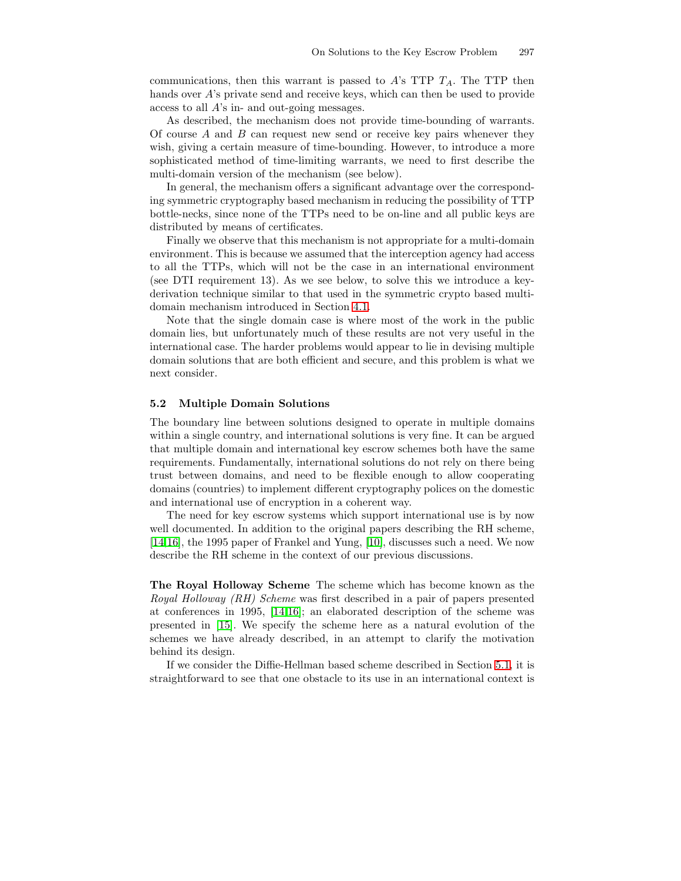communications, then this warrant is passed to  $A$ 's TTP  $T_A$ . The TTP then hands over A's private send and receive keys, which can then be used to provide access to all A's in- and out-going messages.

As described, the mechanism does not provide time-bounding of warrants. Of course  $A$  and  $B$  can request new send or receive key pairs whenever they wish, giving a certain measure of time-bounding. However, to introduce a more sophisticated method of time-limiting warrants, we need to first describe the multi-domain version of the mechanism (see below).

In general, the mechanism offers a significant advantage over the corresponding symmetric cryptography based mechanism in reducing the possibility of TTP bottle-necks, since none of the TTPs need to be on-line and all public keys are distributed by means of certificates.

Finally we observe that this mechanism is not appropriate for a multi-domain environment. This is because we assumed that the interception agency had access to all the TTPs, which will not be the case in an international environment (see DTI requirement 13). As we see below, to solve this we introduce a keyderivation technique similar to that used in the symmetric crypto based multidomain mechanism introduced in Section [4.1.](#page-12-0)

Note that the single domain case is where most of the work in the public domain lies, but unfortunately much of these results are not very useful in the international case. The harder problems would appear to lie in devising multiple domain solutions that are both efficient and secure, and this problem is what we next consider.

### **5.2 Multiple Domain Solutions**

The boundary line between solutions designed to operate in multiple domains within a single country, and international solutions is very fine. It can be argued that multiple domain and international key escrow schemes both have the same requirements. Fundamentally, international solutions do not rely on there being trust between domains, and need to be flexible enough to allow cooperating domains (countries) to implement different cryptography polices on the domestic and international use of encryption in a coherent way.

The need for key escrow systems which support international use is by now well documented. In addition to the original papers describing the RH scheme, [\[14](#page-29-6)[,16\]](#page-29-7), the 1995 paper of Frankel and Yung, [\[10\]](#page-28-6), discusses such a need. We now describe the RH scheme in the context of our previous discussions.

**The Royal Holloway Scheme** The scheme which has become known as the *Royal Holloway (RH) Scheme* was first described in a pair of papers presented at conferences in 1995, [\[14,](#page-29-6)[16\]](#page-29-7); an elaborated description of the scheme was presented in [\[15\]](#page-29-8). We specify the scheme here as a natural evolution of the schemes we have already described, in an attempt to clarify the motivation behind its design.

If we consider the Diffie-Hellman based scheme described in Section [5.1,](#page-18-1) it is straightforward to see that one obstacle to its use in an international context is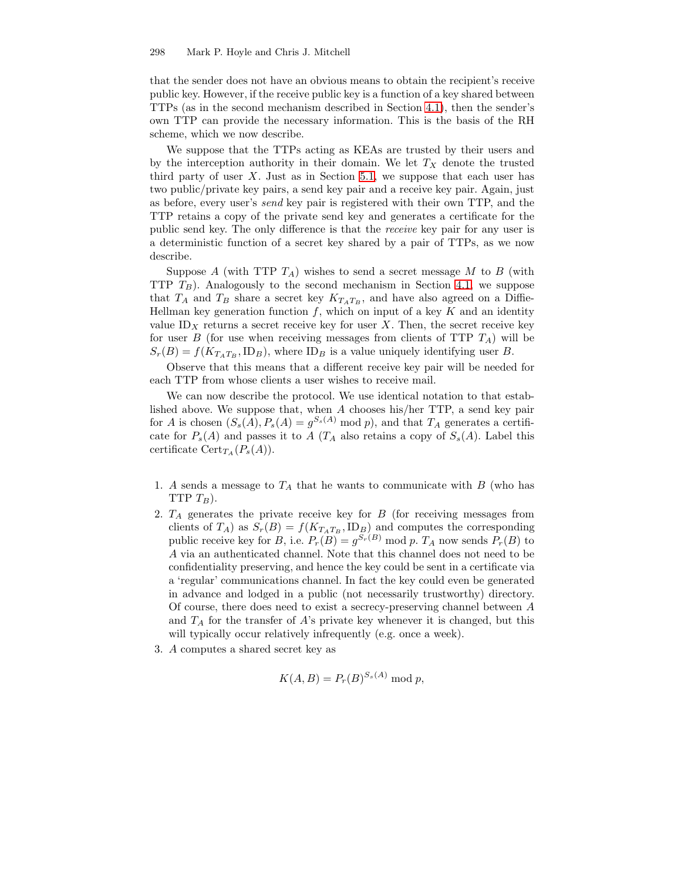that the sender does not have an obvious means to obtain the recipient's receive public key. However, if the receive public key is a function of a key shared between TTPs (as in the second mechanism described in Section [4.1\)](#page-12-0), then the sender's own TTP can provide the necessary information. This is the basis of the RH scheme, which we now describe.

We suppose that the TTPs acting as KEAs are trusted by their users and by the interception authority in their domain. We let  $T_X$  denote the trusted third party of user  $X$ . Just as in Section [5.1,](#page-18-1) we suppose that each user has two public/private key pairs, a send key pair and a receive key pair. Again, just as before, every user's *send* key pair is registered with their own TTP, and the TTP retains a copy of the private send key and generates a certificate for the public send key. The only difference is that the *receive* key pair for any user is a deterministic function of a secret key shared by a pair of TTPs, as we now describe.

Suppose A (with TTP  $T_A$ ) wishes to send a secret message M to B (with TTP  $T_B$ ). Analogously to the second mechanism in Section [4.1,](#page-12-0) we suppose that  $T_A$  and  $T_B$  share a secret key  $K_{T_A T_B}$ , and have also agreed on a Diffie-Hellman key generation function f, which on input of a key  $K$  and an identity value ID<sub>X</sub> returns a secret receive key for user X. Then, the secret receive key for user B (for use when receiving messages from clients of TTP  $T_A$ ) will be  $S_r(B) = f(K_{T_A T_B}, \text{ID}_B)$ , where ID<sub>B</sub> is a value uniquely identifying user B.

Observe that this means that a different receive key pair will be needed for each TTP from whose clients a user wishes to receive mail.

We can now describe the protocol. We use identical notation to that established above. We suppose that, when A chooses his/her TTP, a send key pair for A is chosen  $(S_s(A), P_s(A) = g^{S_s(A)} \mod p)$ , and that  $T_A$  generates a certificate for  $P_s(A)$  and passes it to A ( $T_A$  also retains a copy of  $S_s(A)$ . Label this certificate  $\text{Cert}_{T_A}(P_s(A)).$ 

- 1. A sends a message to  $T_A$  that he wants to communicate with B (who has TTP  $T_B$ ).
- 2.  $T_A$  generates the private receive key for B (for receiving messages from clients of  $T_A$ ) as  $S_r(B) = f(K_{T_A T_B}, ID_B)$  and computes the corresponding public receive key for B, i.e.  $P_r(B) = g^{S_r(B)} \text{ mod } p$ .  $T_A$  now sends  $P_r(B)$  to A via an authenticated channel. Note that this channel does not need to be confidentiality preserving, and hence the key could be sent in a certificate via a 'regular' communications channel. In fact the key could even be generated in advance and lodged in a public (not necessarily trustworthy) directory. Of course, there does need to exist a secrecy-preserving channel between A and  $T_A$  for the transfer of A's private key whenever it is changed, but this will typically occur relatively infrequently (e.g. once a week).
- 3. A computes a shared secret key as

$$
K(A, B) = P_r(B)^{S_s(A)} \bmod p,
$$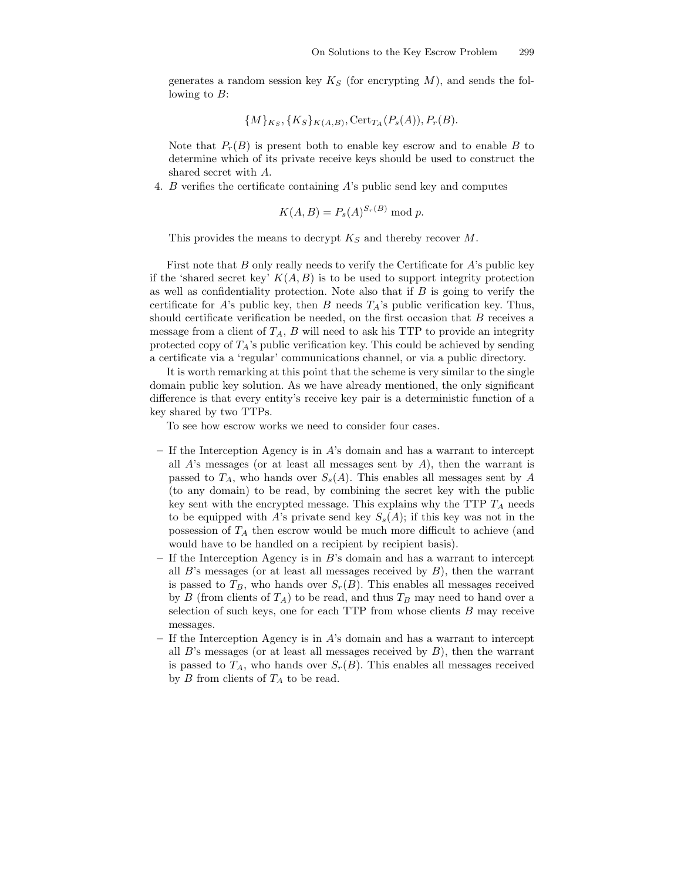generates a random session key  $K_S$  (for encrypting M), and sends the following to  $B$ :

$$
\{M\}_{K_S}, \{K_S\}_{K(A,B)}, \text{Cert}_{T_A}(P_s(A)), P_r(B).
$$

Note that  $P_r(B)$  is present both to enable key escrow and to enable B to determine which of its private receive keys should be used to construct the shared secret with A.

4. B verifies the certificate containing A's public send key and computes

$$
K(A, B) = P_s(A)^{S_r(B)} \bmod p.
$$

This provides the means to decrypt  $K_S$  and thereby recover M.

First note that  $B$  only really needs to verify the Certificate for  $A$ 's public key if the 'shared secret key'  $K(A, B)$  is to be used to support integrity protection as well as confidentiality protection. Note also that if  $B$  is going to verify the certificate for A's public key, then B needs  $T_A$ 's public verification key. Thus, should certificate verification be needed, on the first occasion that  $B$  receives a message from a client of  $T_A$ , B will need to ask his TTP to provide an integrity protected copy of  $T_A$ 's public verification key. This could be achieved by sending a certificate via a 'regular' communications channel, or via a public directory.

It is worth remarking at this point that the scheme is very similar to the single domain public key solution. As we have already mentioned, the only significant difference is that every entity's receive key pair is a deterministic function of a key shared by two TTPs.

To see how escrow works we need to consider four cases.

- **–** If the Interception Agency is in A's domain and has a warrant to intercept all  $A$ 's messages (or at least all messages sent by  $A$ ), then the warrant is passed to  $T_A$ , who hands over  $S_s(A)$ . This enables all messages sent by A (to any domain) to be read, by combining the secret key with the public key sent with the encrypted message. This explains why the TTP  $T_A$  needs to be equipped with A's private send key  $S_s(A)$ ; if this key was not in the possession of  $T_A$  then escrow would be much more difficult to achieve (and would have to be handled on a recipient by recipient basis).
- **–** If the Interception Agency is in B's domain and has a warrant to intercept all  $B$ 's messages (or at least all messages received by  $B$ ), then the warrant is passed to  $T_B$ , who hands over  $S_r(B)$ . This enables all messages received by B (from clients of  $T_A$ ) to be read, and thus  $T_B$  may need to hand over a selection of such keys, one for each  $TTP$  from whose clients  $B$  may receive messages.
- **–** If the Interception Agency is in A's domain and has a warrant to intercept all  $B$ 's messages (or at least all messages received by  $B$ ), then the warrant is passed to  $T_A$ , who hands over  $S_r(B)$ . This enables all messages received by  $B$  from clients of  $T_A$  to be read.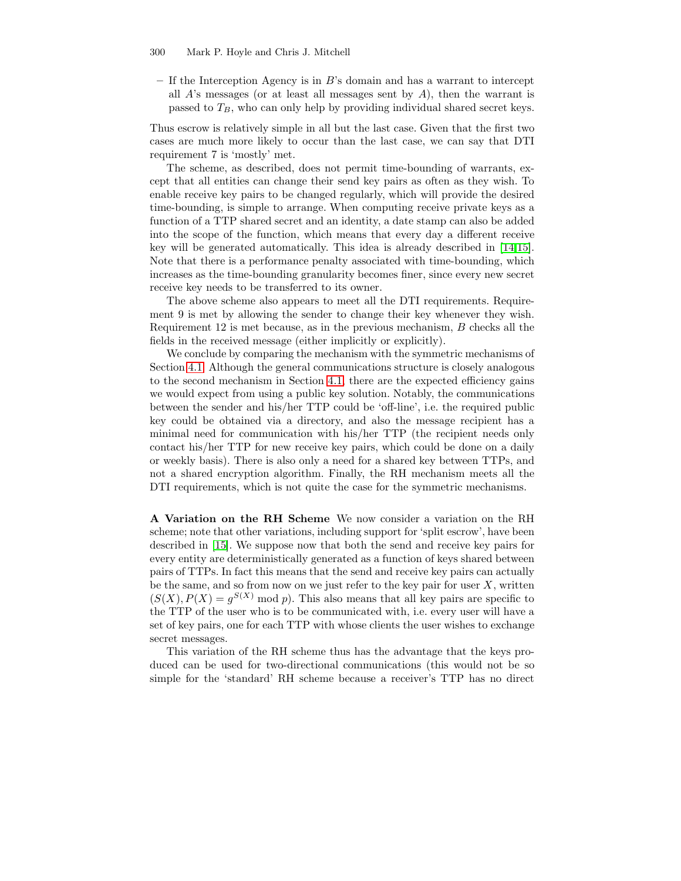**–** If the Interception Agency is in B's domain and has a warrant to intercept all  $A$ 's messages (or at least all messages sent by  $A$ ), then the warrant is passed to  $T_B$ , who can only help by providing individual shared secret keys.

Thus escrow is relatively simple in all but the last case. Given that the first two cases are much more likely to occur than the last case, we can say that DTI requirement 7 is 'mostly' met.

The scheme, as described, does not permit time-bounding of warrants, except that all entities can change their send key pairs as often as they wish. To enable receive key pairs to be changed regularly, which will provide the desired time-bounding, is simple to arrange. When computing receive private keys as a function of a TTP shared secret and an identity, a date stamp can also be added into the scope of the function, which means that every day a different receive key will be generated automatically. This idea is already described in [\[14](#page-29-6)[,15\]](#page-29-8). Note that there is a performance penalty associated with time-bounding, which increases as the time-bounding granularity becomes finer, since every new secret receive key needs to be transferred to its owner.

The above scheme also appears to meet all the DTI requirements. Requirement 9 is met by allowing the sender to change their key whenever they wish. Requirement 12 is met because, as in the previous mechanism, B checks all the fields in the received message (either implicitly or explicitly).

We conclude by comparing the mechanism with the symmetric mechanisms of Section [4.1.](#page-12-0) Although the general communications structure is closely analogous to the second mechanism in Section [4.1,](#page-12-0) there are the expected efficiency gains we would expect from using a public key solution. Notably, the communications between the sender and his/her TTP could be 'off-line', i.e. the required public key could be obtained via a directory, and also the message recipient has a minimal need for communication with his/her TTP (the recipient needs only contact his/her TTP for new receive key pairs, which could be done on a daily or weekly basis). There is also only a need for a shared key between TTPs, and not a shared encryption algorithm. Finally, the RH mechanism meets all the DTI requirements, which is not quite the case for the symmetric mechanisms.

**A Variation on the RH Scheme** We now consider a variation on the RH scheme; note that other variations, including support for 'split escrow', have been described in [\[15\]](#page-29-8). We suppose now that both the send and receive key pairs for every entity are deterministically generated as a function of keys shared between pairs of TTPs. In fact this means that the send and receive key pairs can actually be the same, and so from now on we just refer to the key pair for user X, written  $(S(X) \cap P(X) - g^{S(X)} \mod n)$ . This also means that all key pairs are specific to  $(S(X), P(X) = g^{S(X)} \mod p)$ . This also means that all key pairs are specific to the TTP of the user who is to be communicated with i.e. every user will have a the TTP of the user who is to be communicated with, i.e. every user will have a set of key pairs, one for each TTP with whose clients the user wishes to exchange secret messages.

This variation of the RH scheme thus has the advantage that the keys produced can be used for two-directional communications (this would not be so simple for the 'standard' RH scheme because a receiver's TTP has no direct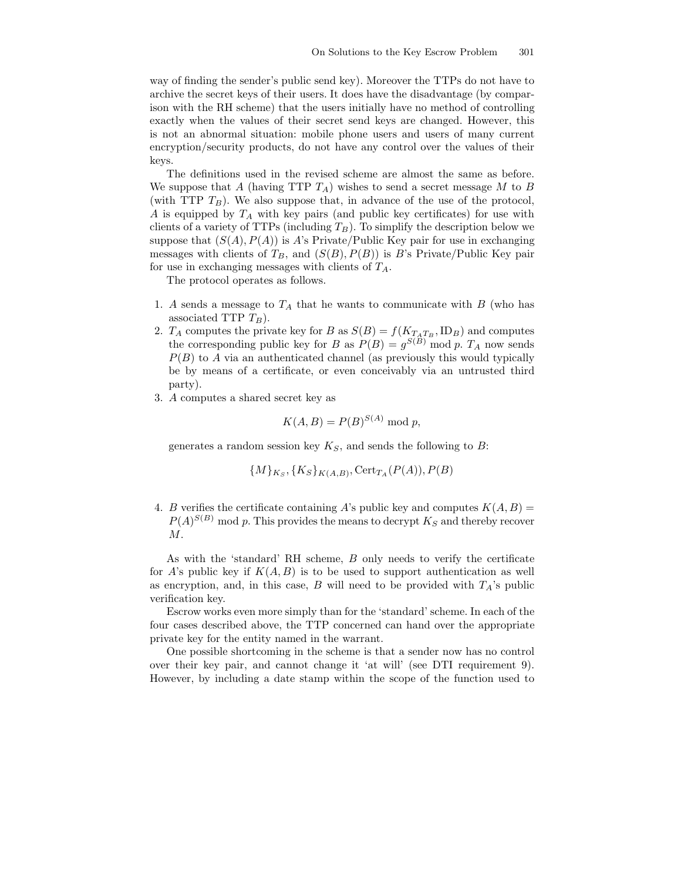way of finding the sender's public send key). Moreover the TTPs do not have to archive the secret keys of their users. It does have the disadvantage (by comparison with the RH scheme) that the users initially have no method of controlling exactly when the values of their secret send keys are changed. However, this is not an abnormal situation: mobile phone users and users of many current encryption/security products, do not have any control over the values of their keys.

The definitions used in the revised scheme are almost the same as before. We suppose that A (having TTP  $T_A$ ) wishes to send a secret message M to B (with TTP  $T_B$ ). We also suppose that, in advance of the use of the protocol, A is equipped by  $T_A$  with key pairs (and public key certificates) for use with clients of a variety of TTPs (including  $T_B$ ). To simplify the description below we suppose that  $(S(A), P(A))$  is A's Private/Public Key pair for use in exchanging messages with clients of  $T_B$ , and  $(S(B), P(B))$  is B's Private/Public Key pair for use in exchanging messages with clients of  $T_A$ .

The protocol operates as follows.

- 1. A sends a message to  $T_A$  that he wants to communicate with  $B$  (who has associated TTP  $T_B$ ).
- 2.  $T_A$  computes the private key for B as  $S(B) = f(K_{T_A T_B}, \mathrm{ID}_B)$  and computes the corresponding public key for B as  $P(B) = g^{S(B)}$  mod p.  $T_A$  now sends  $P(B)$  to A via an authenticated channel (as previously this would typically be by means of a certificate, or even conceivably via an untrusted third party).
- 3. A computes a shared secret key as

$$
K(A, B) = P(B)^{S(A)} \bmod p,
$$

generates a random session key  $K_S$ , and sends the following to B:

$$
\{M\}_{K_S}, \{K_S\}_{K(A,B)}, \text{Cert}_{T_A}(P(A)), P(B)
$$

4. B verifies the certificate containing A's public key and computes  $K(A, B) =$  $P(A)^{S(B)}$  mod p. This provides the means to decrypt  $K_S$  and thereby recover  $M$ .

As with the 'standard' RH scheme, B only needs to verify the certificate for A's public key if  $K(A, B)$  is to be used to support authentication as well as encryption, and, in this case, B will need to be provided with  $T_A$ 's public verification key.

Escrow works even more simply than for the 'standard' scheme. In each of the four cases described above, the TTP concerned can hand over the appropriate private key for the entity named in the warrant.

One possible shortcoming in the scheme is that a sender now has no control over their key pair, and cannot change it 'at will' (see DTI requirement 9). However, by including a date stamp within the scope of the function used to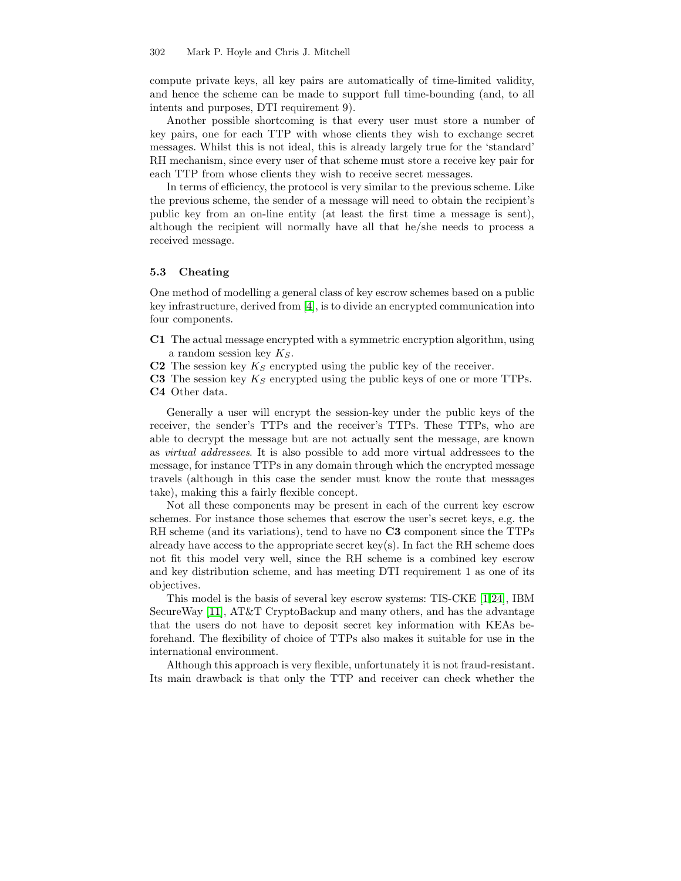compute private keys, all key pairs are automatically of time-limited validity, and hence the scheme can be made to support full time-bounding (and, to all intents and purposes, DTI requirement 9).

Another possible shortcoming is that every user must store a number of key pairs, one for each TTP with whose clients they wish to exchange secret messages. Whilst this is not ideal, this is already largely true for the 'standard' RH mechanism, since every user of that scheme must store a receive key pair for each TTP from whose clients they wish to receive secret messages.

In terms of efficiency, the protocol is very similar to the previous scheme. Like the previous scheme, the sender of a message will need to obtain the recipient's public key from an on-line entity (at least the first time a message is sent), although the recipient will normally have all that he/she needs to process a received message.

### <span id="page-25-0"></span>**5.3 Cheating**

One method of modelling a general class of key escrow schemes based on a public key infrastructure, derived from [\[4\]](#page-28-7), is to divide an encrypted communication into four components.

**C1** The actual message encrypted with a symmetric encryption algorithm, using a random session key  $K_S$ .

**C2** The session key  $K<sub>S</sub>$  encrypted using the public key of the receiver.

**C3** The session key  $K<sub>S</sub>$  encrypted using the public keys of one or more TTPs. **C4** Other data.

Generally a user will encrypt the session-key under the public keys of the receiver, the sender's TTPs and the receiver's TTPs. These TTPs, who are able to decrypt the message but are not actually sent the message, are known as *virtual addressees*. It is also possible to add more virtual addressees to the message, for instance TTPs in any domain through which the encrypted message travels (although in this case the sender must know the route that messages take), making this a fairly flexible concept.

Not all these components may be present in each of the current key escrow schemes. For instance those schemes that escrow the user's secret keys, e.g. the RH scheme (and its variations), tend to have no **C3** component since the TTPs already have access to the appropriate secret key(s). In fact the RH scheme does not fit this model very well, since the RH scheme is a combined key escrow and key distribution scheme, and has meeting DTI requirement 1 as one of its objectives.

This model is the basis of several key escrow systems: TIS-CKE [\[1](#page-28-8)[,24\]](#page-29-9), IBM SecureWay [\[11\]](#page-28-9), AT&T CryptoBackup and many others, and has the advantage that the users do not have to deposit secret key information with KEAs beforehand. The flexibility of choice of TTPs also makes it suitable for use in the international environment.

Although this approach is very flexible, unfortunately it is not fraud-resistant. Its main drawback is that only the TTP and receiver can check whether the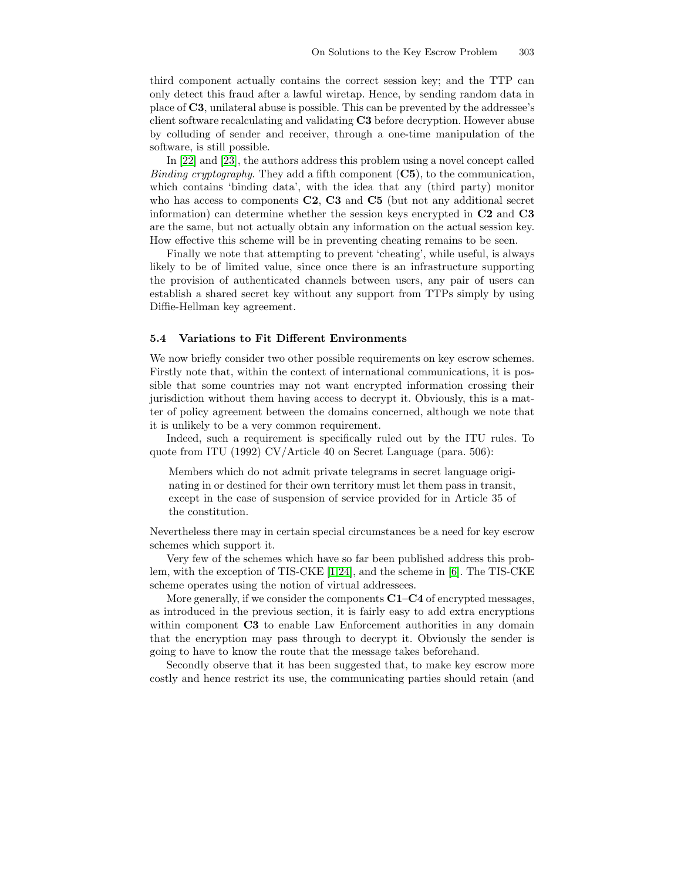third component actually contains the correct session key; and the TTP can only detect this fraud after a lawful wiretap. Hence, by sending random data in place of **C3**, unilateral abuse is possible. This can be prevented by the addressee's client software recalculating and validating **C3** before decryption. However abuse by colluding of sender and receiver, through a one-time manipulation of the software, is still possible.

In [\[22\]](#page-29-10) and [\[23\]](#page-29-11), the authors address this problem using a novel concept called *Binding cryptography*. They add a fifth component (**C5**), to the communication, which contains 'binding data', with the idea that any (third party) monitor who has access to components **C2**, **C3** and **C5** (but not any additional secret information) can determine whether the session keys encrypted in **C2** and **C3** are the same, but not actually obtain any information on the actual session key. How effective this scheme will be in preventing cheating remains to be seen.

Finally we note that attempting to prevent 'cheating', while useful, is always likely to be of limited value, since once there is an infrastructure supporting the provision of authenticated channels between users, any pair of users can establish a shared secret key without any support from TTPs simply by using Diffie-Hellman key agreement.

#### **5.4 Variations to Fit Different Environments**

We now briefly consider two other possible requirements on key escrow schemes. Firstly note that, within the context of international communications, it is possible that some countries may not want encrypted information crossing their jurisdiction without them having access to decrypt it. Obviously, this is a matter of policy agreement between the domains concerned, although we note that it is unlikely to be a very common requirement.

Indeed, such a requirement is specifically ruled out by the ITU rules. To quote from ITU (1992) CV/Article 40 on Secret Language (para. 506):

Members which do not admit private telegrams in secret language originating in or destined for their own territory must let them pass in transit, except in the case of suspension of service provided for in Article 35 of the constitution.

Nevertheless there may in certain special circumstances be a need for key escrow schemes which support it.

Very few of the schemes which have so far been published address this problem, with the exception of TIS-CKE [\[1](#page-28-8)[,24\]](#page-29-9), and the scheme in [\[6\]](#page-28-1). The TIS-CKE scheme operates using the notion of virtual addressees.

More generally, if we consider the components **C1**–**C4** of encrypted messages, as introduced in the previous section, it is fairly easy to add extra encryptions within component **C3** to enable Law Enforcement authorities in any domain that the encryption may pass through to decrypt it. Obviously the sender is going to have to know the route that the message takes beforehand.

Secondly observe that it has been suggested that, to make key escrow more costly and hence restrict its use, the communicating parties should retain (and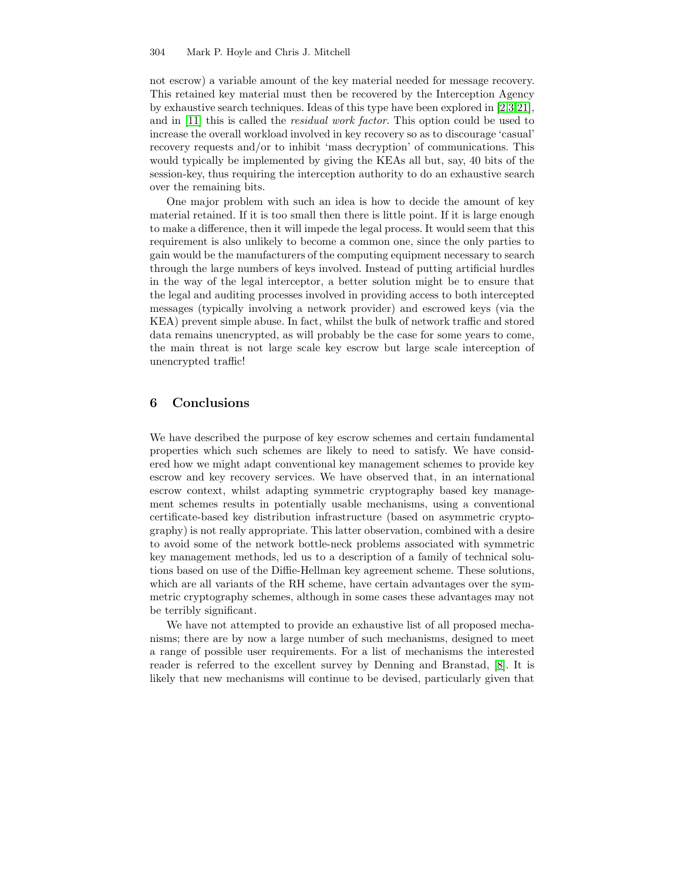not escrow) a variable amount of the key material needed for message recovery. This retained key material must then be recovered by the Interception Agency by exhaustive search techniques. Ideas of this type have been explored in [\[2,](#page-28-10)[3](#page-28-11)[,21\]](#page-29-12), and in [\[11\]](#page-28-9) this is called the *residual work factor*. This option could be used to increase the overall workload involved in key recovery so as to discourage 'casual' recovery requests and/or to inhibit 'mass decryption' of communications. This would typically be implemented by giving the KEAs all but, say, 40 bits of the session-key, thus requiring the interception authority to do an exhaustive search over the remaining bits.

One major problem with such an idea is how to decide the amount of key material retained. If it is too small then there is little point. If it is large enough to make a difference, then it will impede the legal process. It would seem that this requirement is also unlikely to become a common one, since the only parties to gain would be the manufacturers of the computing equipment necessary to search through the large numbers of keys involved. Instead of putting artificial hurdles in the way of the legal interceptor, a better solution might be to ensure that the legal and auditing processes involved in providing access to both intercepted messages (typically involving a network provider) and escrowed keys (via the KEA) prevent simple abuse. In fact, whilst the bulk of network traffic and stored data remains unencrypted, as will probably be the case for some years to come, the main threat is not large scale key escrow but large scale interception of unencrypted traffic!

## **6 Conclusions**

We have described the purpose of key escrow schemes and certain fundamental properties which such schemes are likely to need to satisfy. We have considered how we might adapt conventional key management schemes to provide key escrow and key recovery services. We have observed that, in an international escrow context, whilst adapting symmetric cryptography based key management schemes results in potentially usable mechanisms, using a conventional certificate-based key distribution infrastructure (based on asymmetric cryptography) is not really appropriate. This latter observation, combined with a desire to avoid some of the network bottle-neck problems associated with symmetric key management methods, led us to a description of a family of technical solutions based on use of the Diffie-Hellman key agreement scheme. These solutions, which are all variants of the RH scheme, have certain advantages over the symmetric cryptography schemes, although in some cases these advantages may not be terribly significant.

We have not attempted to provide an exhaustive list of all proposed mechanisms; there are by now a large number of such mechanisms, designed to meet a range of possible user requirements. For a list of mechanisms the interested reader is referred to the excellent survey by Denning and Branstad, [\[8\]](#page-28-4). It is likely that new mechanisms will continue to be devised, particularly given that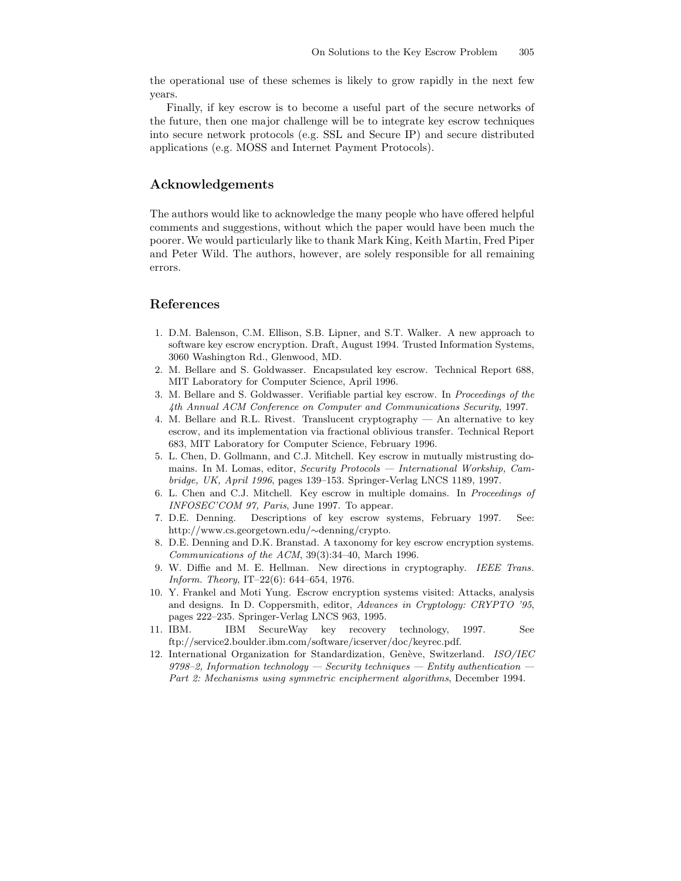the operational use of these schemes is likely to grow rapidly in the next few years.

Finally, if key escrow is to become a useful part of the secure networks of the future, then one major challenge will be to integrate key escrow techniques into secure network protocols (e.g. SSL and Secure IP) and secure distributed applications (e.g. MOSS and Internet Payment Protocols).

## **Acknowledgements**

The authors would like to acknowledge the many people who have offered helpful comments and suggestions, without which the paper would have been much the poorer. We would particularly like to thank Mark King, Keith Martin, Fred Piper and Peter Wild. The authors, however, are solely responsible for all remaining errors.

## <span id="page-28-8"></span>**References**

- 1. D.M. Balenson, C.M. Ellison, S.B. Lipner, and S.T. Walker. A new approach to software key escrow encryption. Draft, August 1994. Trusted Information Systems, 3060 Washington Rd., Glenwood, MD.
- <span id="page-28-10"></span>2. M. Bellare and S. Goldwasser. Encapsulated key escrow. Technical Report 688, MIT Laboratory for Computer Science, April 1996.
- <span id="page-28-11"></span>3. M. Bellare and S. Goldwasser. Verifiable partial key escrow. In Proceedings of the 4th Annual ACM Conference on Computer and Communications Security, 1997.
- <span id="page-28-7"></span>4. M. Bellare and R.L. Rivest. Translucent cryptography — An alternative to key escrow, and its implementation via fractional oblivious transfer. Technical Report 683, MIT Laboratory for Computer Science, February 1996.
- <span id="page-28-0"></span>5. L. Chen, D. Gollmann, and C.J. Mitchell. Key escrow in mutually mistrusting domains. In M. Lomas, editor, Security Protocols — International Workship, Cambridge, UK, April 1996, pages 139–153. Springer-Verlag LNCS 1189, 1997.
- <span id="page-28-1"></span>6. L. Chen and C.J. Mitchell. Key escrow in multiple domains. In Proceedings of INFOSEC'COM 97, Paris, June 1997. To appear.
- <span id="page-28-3"></span>7. D.E. Denning. Descriptions of key escrow systems, February 1997. See: http://www.cs.georgetown.edu/∼denning/crypto.
- <span id="page-28-4"></span>8. D.E. Denning and D.K. Branstad. A taxonomy for key escrow encryption systems. Communications of the ACM, 39(3):34–40, March 1996.
- <span id="page-28-5"></span>9. W. Diffie and M. E. Hellman. New directions in cryptography. IEEE Trans. Inform. Theory, IT–22(6): 644–654, 1976.
- <span id="page-28-6"></span>10. Y. Frankel and Moti Yung. Escrow encryption systems visited: Attacks, analysis and designs. In D. Coppersmith, editor, Advances in Cryptology: CRYPTO '95, pages 222–235. Springer-Verlag LNCS 963, 1995.
- <span id="page-28-9"></span>11. IBM. IBM SecureWay key recovery technology, 1997. See ftp://service2.boulder.ibm.com/software/icserver/doc/keyrec.pdf.
- <span id="page-28-2"></span>12. International Organization for Standardization, Genève, Switzerland. ISO/IEC  $9798-2$ , Information technology  $-$  Security techniques  $-$  Entity authentication Part 2: Mechanisms using symmetric encipherment algorithms, December 1994.